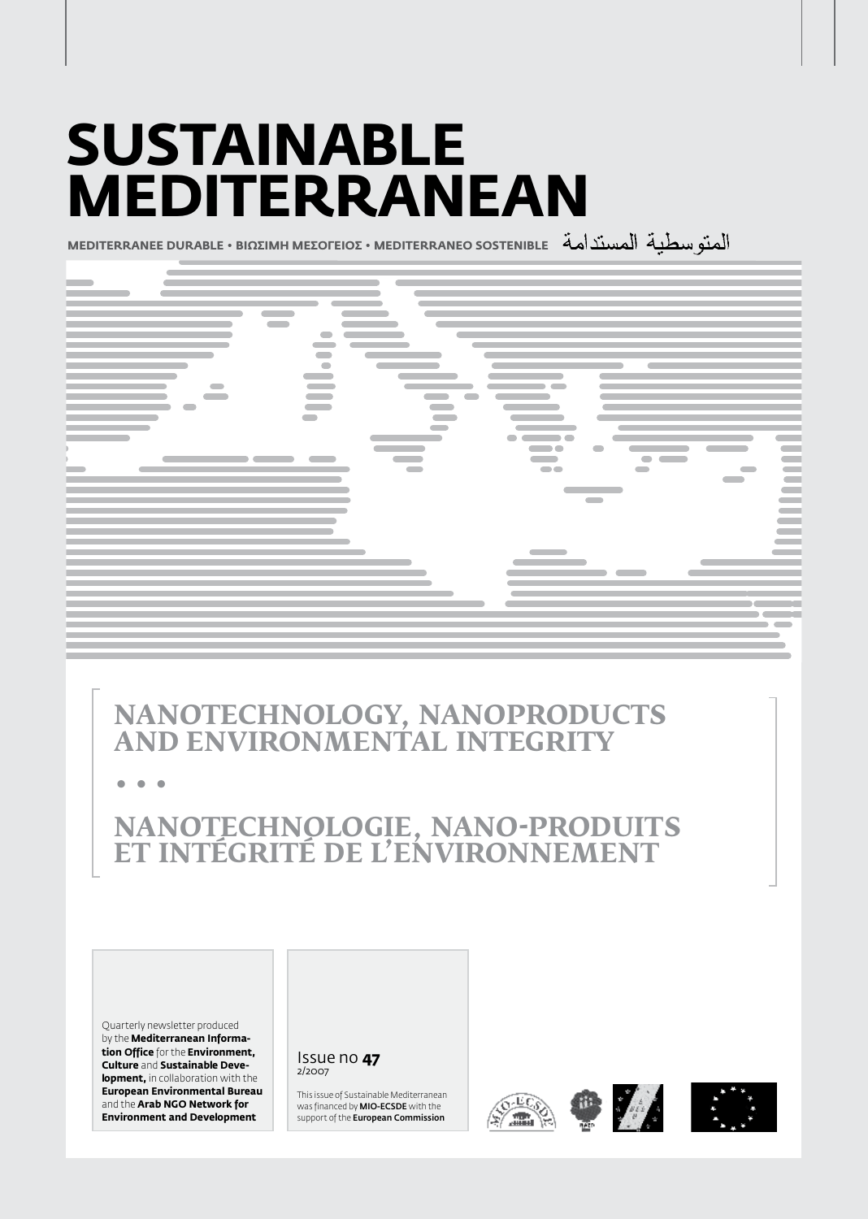# **Sustainable Mediterranean**

**MEDITERRANEE DURABLE • BIΩΣIMH MEΣOΓEIOΣ • MEDITERRANEO SOSTENIBLE**



# **Nanotechnology, nanoproducts and environmental integrity**

**• • •**

# **Nanotechnologie, nano-produits et intégrité de l'environnement**

Quarterly newsletter produced by the **Mediterranean Information Office** for the **Environment, Culture** and **Sustainable Development,** in collaboration with the **European Environmental Bureau**  and the **Arab NGO Network for Environment and Development**

#### Issue no **47** 2/2007

This issue of Sustainable Mediterranean was financed by MIO-ECSDE with the support of the **European Commission** 







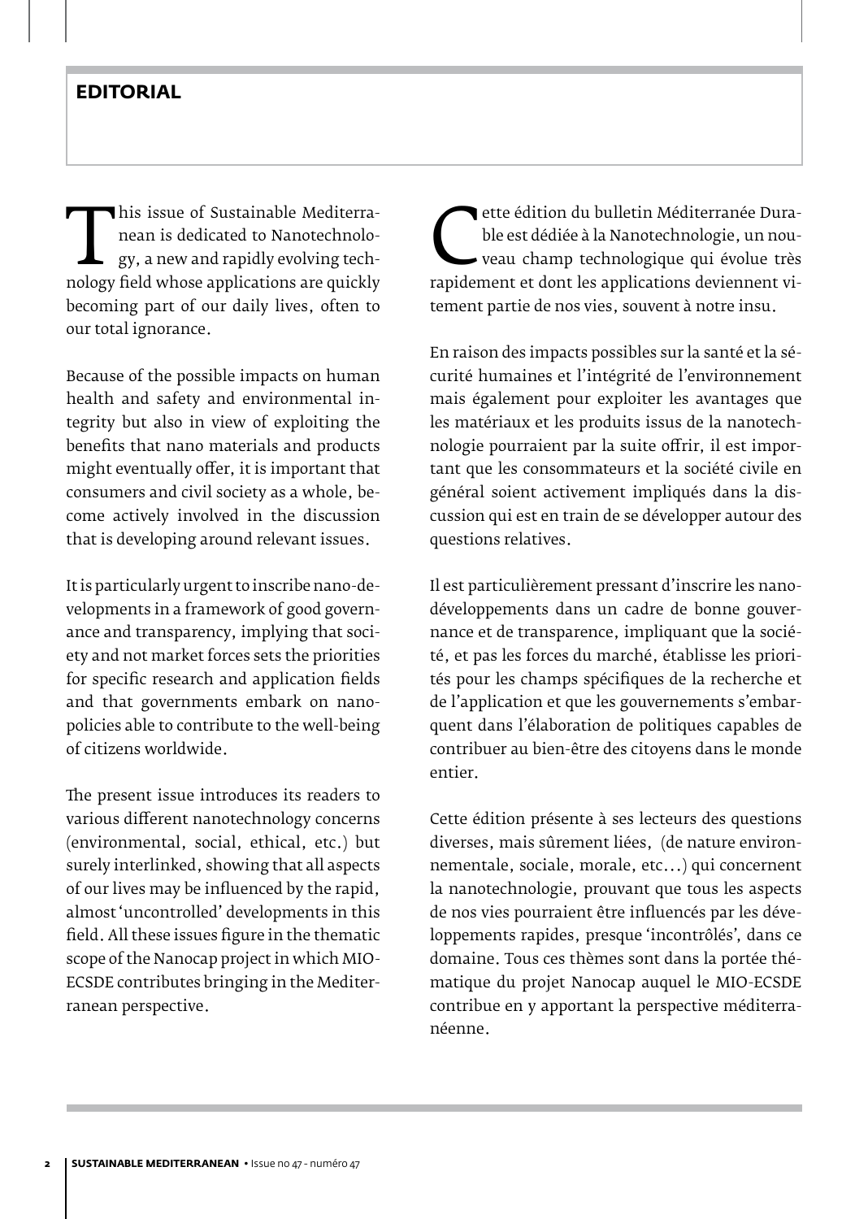## **EDITORIAL**

This issue of Sustainable Mediterra-<br>
nean is dedicated to Nanotechnolo-<br>
gy, a new and rapidly evolving tech-<br>
nology field whose applications are quickly<br>
becoming part of our daily lives often to nean is dedicated to Nanotechnology, a new and rapidly evolving techbecoming part of our daily lives, often to our total ignorance.

Because of the possible impacts on human health and safety and environmental integrity but also in view of exploiting the benefits that nano materials and products might eventually offer, it is important that consumers and civil society as a whole, become actively involved in the discussion that is developing around relevant issues.

It is particularly urgent to inscribe nano-developments in a framework of good governance and transparency, implying that society and not market forces sets the priorities for specific research and application fields and that governments embark on nanopolicies able to contribute to the well-being of citizens worldwide.

The present issue introduces its readers to various different nanotechnology concerns (environmental, social, ethical, etc.) but surely interlinked, showing that all aspects of our lives may be influenced by the rapid, almost 'uncontrolled' developments in this field. All these issues figure in the thematic scope of the Nanocap project in which MIO-ECSDE contributes bringing in the Mediterranean perspective.

ble est dédiée à la Nanotechnologie, un nou-<br>
veau champ technologique qui évolue très<br>
rapidement et dont les applications deviennent vi-<br>
tement partie de nos vies, souvent à potre insu ble est dédiée à la Nanotechnologie, un nouveau champ technologique qui évolue très tement partie de nos vies, souvent à notre insu.

En raison des impacts possibles sur la santé et la sécurité humaines et l'intégrité de l'environnement mais également pour exploiter les avantages que les matériaux et les produits issus de la nanotechnologie pourraient par la suite offrir, il est important que les consommateurs et la société civile en général soient activement impliqués dans la discussion qui est en train de se développer autour des questions relatives.

Il est particulièrement pressant d'inscrire les nanodéveloppements dans un cadre de bonne gouvernance et de transparence, impliquant que la société, et pas les forces du marché, établisse les priorités pour les champs spécifiques de la recherche et de l'application et que les gouvernements s'embarquent dans l'élaboration de politiques capables de contribuer au bien-être des citoyens dans le monde entier.

Cette édition présente à ses lecteurs des questions diverses, mais sûrement liées, (de nature environnementale, sociale, morale, etc...) qui concernent la nanotechnologie, prouvant que tous les aspects de nos vies pourraient être influencés par les développements rapides, presque 'incontrôlés', dans ce domaine. Tous ces thèmes sont dans la portée thématique du projet Nanocap auquel le MIO-ECSDE contribue en y apportant la perspective méditerranéenne.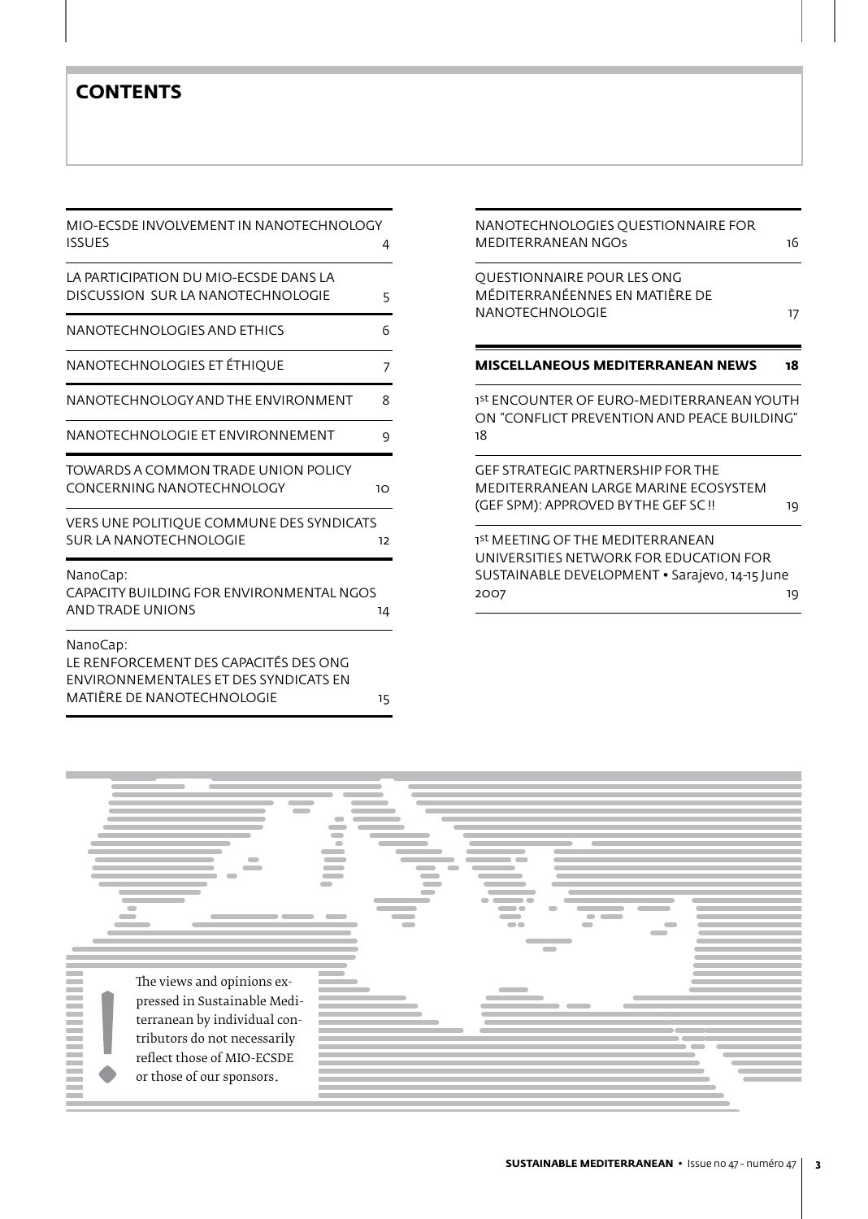## **CONTENTS**

| MIO-ECSDE INVOLVEMENT IN NANOTECHNOLOGY<br><b>ISSUES</b>                                                                        | 4  |
|---------------------------------------------------------------------------------------------------------------------------------|----|
| LA PARTICIPATION DU MIO-ECSDE DANS LA<br>DISCUSSION SUR LA NANOTECHNOLOGIE                                                      | 5  |
| NANOTECHNOLOGIES AND ETHICS                                                                                                     | 6  |
| NANOTECHNOLOGIES ET ÉTHIQUE                                                                                                     | 7  |
| NANOTECHNOLOGY AND THE ENVIRONMENT                                                                                              | 8  |
| NANOTECHNOLOGIE ET ENVIRONNEMENT                                                                                                | 9  |
| TOWARDS A COMMON TRADE UNION POLICY<br>CONCERNING NANOTECHNOLOGY                                                                | 10 |
| VERS UNE POLITIQUE COMMUNE DES SYNDICATS<br>SUR LA NANOTECHNOLOGIE                                                              | 12 |
| NanoCap:<br>CAPACITY BUILDING FOR ENVIRONMENTAL NGOS<br>AND TRADE UNIONS                                                        |    |
| NanoCap:<br>LE RENFORCEMENT DES CAPACITÉS DES ONG<br><b>ENVIRONNEMENTALES ET DES SYNDICATS EN</b><br>MATIËRE DE NANOTECHNOLOGIE | 15 |

| 16                                                                                             |
|------------------------------------------------------------------------------------------------|
| 17                                                                                             |
| 18                                                                                             |
| 1st ENCOUNTER OF EURO-MEDITERRANEAN YOUTH<br>ON "CONFLICT PREVENTION AND PEACE BUILDING"       |
| 19                                                                                             |
| UNIVERSITIES NETWORK FOR EDUCATION FOR<br>SUSTAINABLE DEVELOPMENT • Sarajevo, 14-15 June<br>19 |
|                                                                                                |

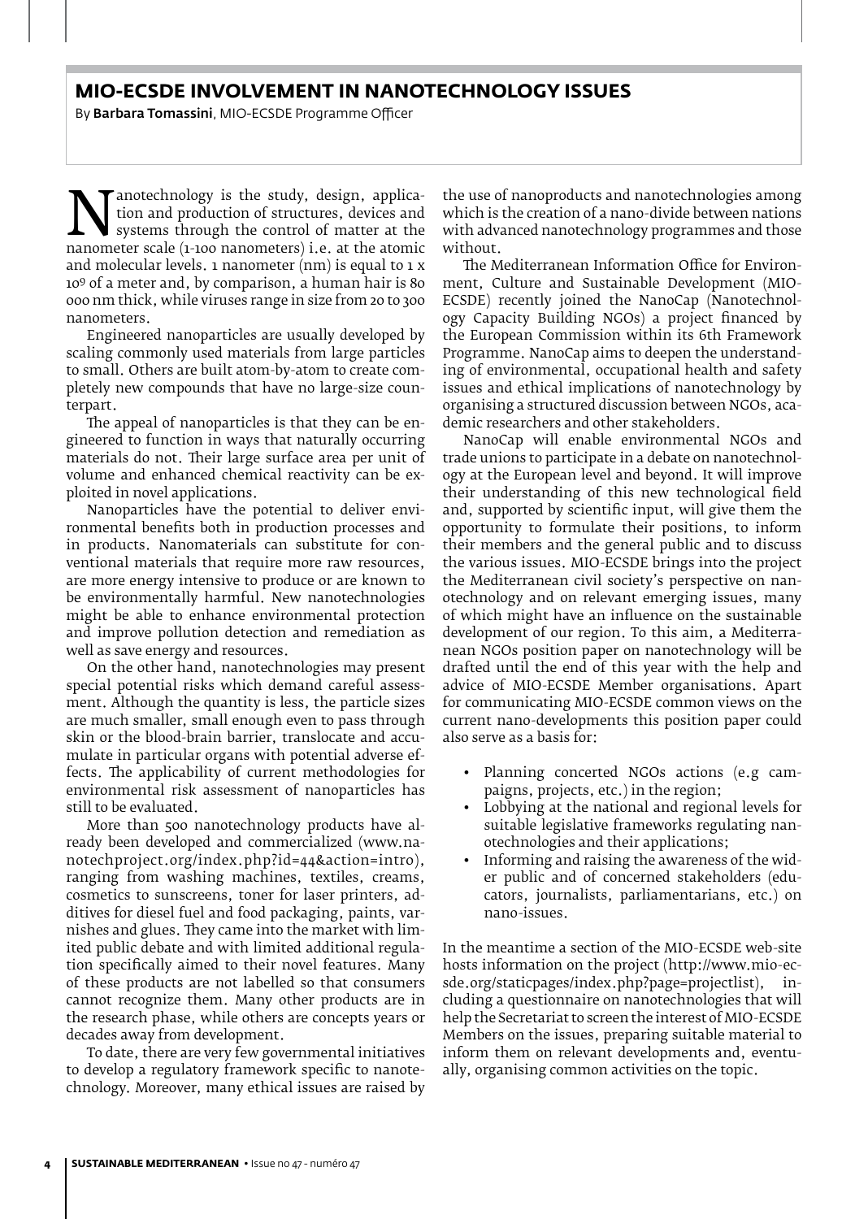#### **MIO-ECSDE INVOLVEMENT IN NANOTECHNOLOGY ISSUES**

By Barbara Tomassini, MIO-ECSDE Programme Officer

**Nanotechnology is the study, design, application**<br>tion and production of structures, devices and<br>systems through the control of matter at the<br>nanometer scale (1-100 nanometers) i.e. at the atomic<br>and molecular levels. 1 n tion and production of structures, devices and systems through the control of matter at the nanometer scale (1-100 nanometers) i.e. at the atomic and molecular levels. 1 nanometer (nm) is equal to 1 x 109 of a meter and, by comparison, a human hair is 80 000 nm thick, while viruses range in size from 20 to 300 nanometers.

Engineered nanoparticles are usually developed by scaling commonly used materials from large particles to small. Others are built atom-by-atom to create completely new compounds that have no large-size counterpart.

The appeal of nanoparticles is that they can be engineered to function in ways that naturally occurring materials do not. Their large surface area per unit of volume and enhanced chemical reactivity can be exploited in novel applications.

Nanoparticles have the potential to deliver environmental benefits both in production processes and in products. Nanomaterials can substitute for conventional materials that require more raw resources, are more energy intensive to produce or are known to be environmentally harmful. New nanotechnologies might be able to enhance environmental protection and improve pollution detection and remediation as well as save energy and resources.

On the other hand, nanotechnologies may present special potential risks which demand careful assessment. Although the quantity is less, the particle sizes are much smaller, small enough even to pass through skin or the blood-brain barrier, translocate and accumulate in particular organs with potential adverse effects. The applicability of current methodologies for environmental risk assessment of nanoparticles has still to be evaluated.

More than 500 nanotechnology products have already been developed and commercialized (www.nanotechproject.org/index.php?id=44&action=intr0), ranging from washing machines, textiles, creams, cosmetics to sunscreens, toner for laser printers, additives for diesel fuel and food packaging, paints, varnishes and glues. They came into the market with limited public debate and with limited additional regulation specifically aimed to their novel features. Many of these products are not labelled so that consumers cannot recognize them. Many other products are in the research phase, while others are concepts years or decades away from development.

To date, there are very few governmental initiatives to develop a regulatory framework specific to nanotechnology. Moreover, many ethical issues are raised by

the use of nanoproducts and nanotechnologies among which is the creation of a nano-divide between nations with advanced nanotechnology programmes and those without.

The Mediterranean Information Office for Environment, Culture and Sustainable Development (MIO-ECSDE) recently joined the NanoCap (Nanotechnology Capacity Building NGOs) a project financed by the European Commission within its 6th Framework Programme. NanoCap aims to deepen the understanding of environmental, occupational health and safety issues and ethical implications of nanotechnology by organising a structured discussion between NGOs, academic researchers and other stakeholders.

NanoCap will enable environmental NGOs and trade unions to participate in a debate on nanotechnology at the European level and beyond. It will improve their understanding of this new technological field and, supported by scientific input, will give them the opportunity to formulate their positions, to inform their members and the general public and to discuss the various issues. MIO-ECSDE brings into the project the Mediterranean civil society's perspective on nanotechnology and on relevant emerging issues, many of which might have an influence on the sustainable development of our region. To this aim, a Mediterranean NGOs position paper on nanotechnology will be drafted until the end of this year with the help and advice of MIO-ECSDE Member organisations. Apart for communicating MIO-ECSDE common views on the current nano-developments this position paper could also serve as a basis for:

- Planning concerted NGOs actions (e.g campaigns, projects, etc.) in the region;
- Lobbying at the national and regional levels for suitable legislative frameworks regulating nanotechnologies and their applications;
- Informing and raising the awareness of the wider public and of concerned stakeholders (educators, journalists, parliamentarians, etc.) on nano-issues.

In the meantime a section of the MIO-ECSDE web-site hosts information on the project (http://www.mio-ecsde.org/staticpages/index.php?page=projectlist), including a questionnaire on nanotechnologies that will help the Secretariat to screen the interest of MIO-ECSDE Members on the issues, preparing suitable material to inform them on relevant developments and, eventually, organising common activities on the topic.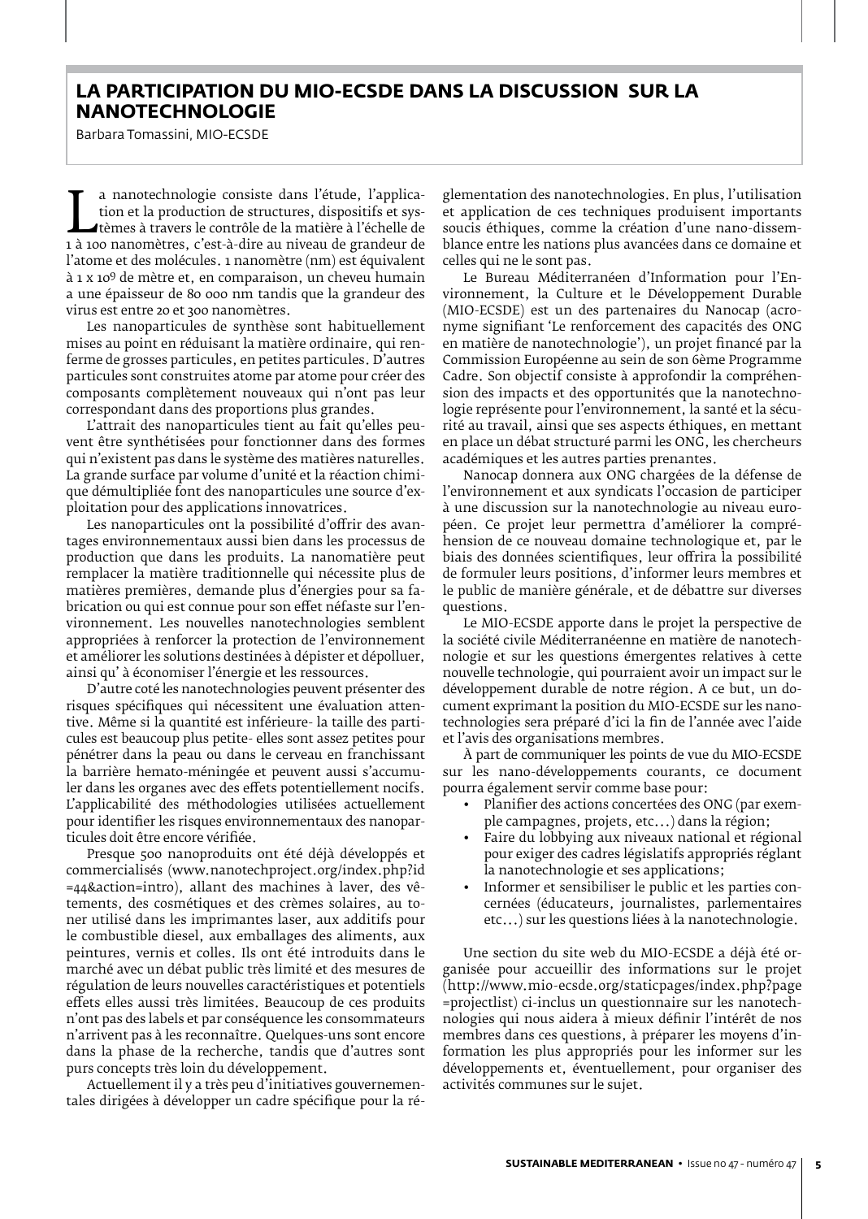## **LA PARTICIPATION DU MIO-ECSDE DANS LA DISCUSSION SUR LA NANOTECHNOLOGIE**

Barbara Tomassini, MIO-ECSDE

tion et la production de structures, dispositifs et sys-<br>1 à 100 nanomètres, c'est-à-dire au niveau de grandeur de<br>1'atome et des molécules 1 nanomètre (nm) est équivalent a nanotechnologie consiste dans l'étude, l'application et la production de structures, dispositifs et systèmes à travers le contrôle de la matière à l'échelle de l'atome et des molécules. 1 nanomètre (nm) est équivalent à 1 x 109 de mètre et, en comparaison, un cheveu humain a une épaisseur de 80 000 nm tandis que la grandeur des virus est entre 20 et 300 nanomètres.

Les nanoparticules de synthèse sont habituellement mises au point en réduisant la matière ordinaire, qui renferme de grosses particules, en petites particules. D'autres particules sont construites atome par atome pour créer des composants complètement nouveaux qui n'ont pas leur correspondant dans des proportions plus grandes.

L'attrait des nanoparticules tient au fait qu'elles peuvent être synthétisées pour fonctionner dans des formes qui n'existent pas dans le système des matières naturelles. La grande surface par volume d'unité et la réaction chimique démultipliée font des nanoparticules une source d'exploitation pour des applications innovatrices.

Les nanoparticules ont la possibilité d'offrir des avantages environnementaux aussi bien dans les processus de production que dans les produits. La nanomatière peut remplacer la matière traditionnelle qui nécessite plus de matières premières, demande plus d'énergies pour sa fabrication ou qui est connue pour son effet néfaste sur l'environnement. Les nouvelles nanotechnologies semblent appropriées à renforcer la protection de l'environnement et améliorer les solutions destinées à dépister et dépolluer, ainsi qu' à économiser l'énergie et les ressources.

D'autre coté les nanotechnologies peuvent présenter des risques spécifiques qui nécessitent une évaluation attentive. Même si la quantité est inférieure- la taille des particules est beaucoup plus petite- elles sont assez petites pour pénétrer dans la peau ou dans le cerveau en franchissant la barrière hemato-méningée et peuvent aussi s'accumuler dans les organes avec des effets potentiellement nocifs. L'applicabilité des méthodologies utilisées actuellement pour identifier les risques environnementaux des nanoparticules doit être encore vérifiée.

Presque 500 nanoproduits ont été déjà développés et commercialisés (www.nanotechproject.org/index.php?id =44&action=intro), allant des machines à laver, des vêtements, des cosmétiques et des crèmes solaires, au toner utilisé dans les imprimantes laser, aux additifs pour le combustible diesel, aux emballages des aliments, aux peintures, vernis et colles. Ils ont été introduits dans le marché avec un débat public très limité et des mesures de régulation de leurs nouvelles caractéristiques et potentiels effets elles aussi très limitées. Beaucoup de ces produits n'ont pas des labels et par conséquence les consommateurs n'arrivent pas à les reconnaître. Quelques-uns sont encore dans la phase de la recherche, tandis que d'autres sont purs concepts très loin du développement.

Actuellement il y a très peu d'initiatives gouvernementales dirigées à développer un cadre spécifique pour la réglementation des nanotechnologies. En plus, l'utilisation et application de ces techniques produisent importants soucis éthiques, comme la création d'une nano-dissemblance entre les nations plus avancées dans ce domaine et celles qui ne le sont pas.

Le Bureau Méditerranéen d'Information pour l'Environnement, la Culture et le Développement Durable (MIO-ECSDE) est un des partenaires du Nanocap (acronyme signifiant 'Le renforcement des capacités des ONG en matière de nanotechnologie'), un projet financé par la Commission Européenne au sein de son 6ème Programme Cadre. Son objectif consiste à approfondir la compréhension des impacts et des opportunités que la nanotechnologie représente pour l'environnement, la santé et la sécurité au travail, ainsi que ses aspects éthiques, en mettant en place un débat structuré parmi les ONG, les chercheurs académiques et les autres parties prenantes.

Nanocap donnera aux ONG chargées de la défense de l'environnement et aux syndicats l'occasion de participer à une discussion sur la nanotechnologie au niveau européen. Ce projet leur permettra d'améliorer la compréhension de ce nouveau domaine technologique et, par le biais des données scientifiques, leur offrira la possibilité de formuler leurs positions, d'informer leurs membres et le public de manière générale, et de débattre sur diverses questions.

Le MIO-ECSDE apporte dans le projet la perspective de la société civile Méditerranéenne en matière de nanotechnologie et sur les questions émergentes relatives à cette nouvelle technologie, qui pourraient avoir un impact sur le développement durable de notre région. A ce but, un document exprimant la position du MIO-ECSDE sur les nanotechnologies sera préparé d'ici la fin de l'année avec l'aide et l'avis des organisations membres.

À part de communiquer les points de vue du MIO-ECSDE sur les nano-développements courants, ce document pourra également servir comme base pour:

- Planifier des actions concertées des ONG (par exemple campagnes, projets, etc...) dans la région;
- Faire du lobbying aux niveaux national et régional pour exiger des cadres législatifs appropriés réglant la nanotechnologie et ses applications;
- Informer et sensibiliser le public et les parties concernées (éducateurs, journalistes, parlementaires etc...) sur les questions liées à la nanotechnologie.

Une section du site web du MIO-ECSDE a déjà été organisée pour accueillir des informations sur le projet (http://www.mio-ecsde.org/staticpages/index.php?page =projectlist) ci-inclus un questionnaire sur les nanotechnologies qui nous aidera à mieux définir l'intérêt de nos membres dans ces questions, à préparer les moyens d'information les plus appropriés pour les informer sur les développements et, éventuellement, pour organiser des activités communes sur le sujet.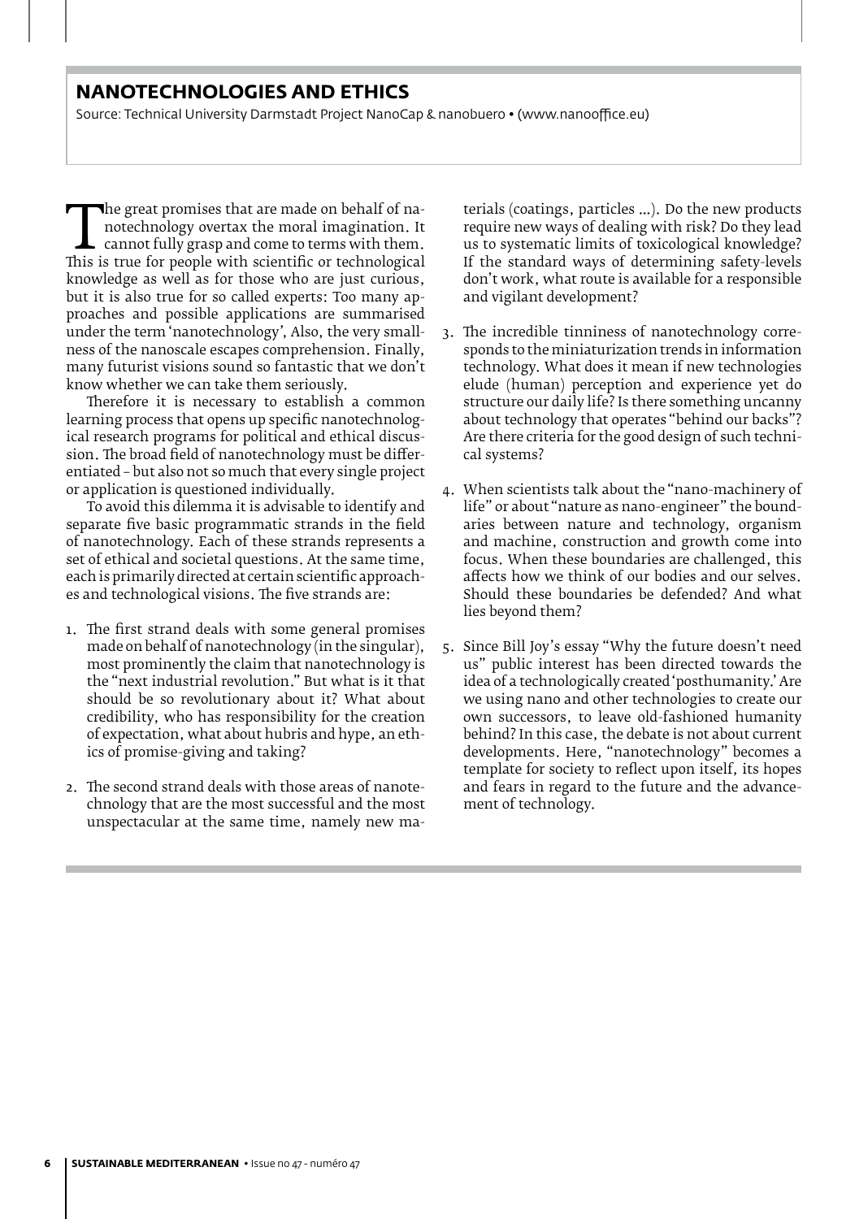## **NANOTECHNOLOGIES AND ETHICS**

Source: Technical University Darmstadt Project NanoCap & nanobuero • (www.nanooffice.eu)

The great promises that are made on behalf of na-<br>notechnology overtax the moral imagination. It<br>this is true for people with scientific or technological<br>knowledge as well as for those who are just curious notechnology overtax the moral imagination. It cannot fully grasp and come to terms with them. knowledge as well as for those who are just curious, but it is also true for so called experts: Too many approaches and possible applications are summarised under the term 'nanotechnology', Also, the very smallness of the nanoscale escapes comprehension. Finally, many futurist visions sound so fantastic that we don't know whether we can take them seriously.

Therefore it is necessary to establish a common learning process that opens up specific nanotechnological research programs for political and ethical discussion. The broad field of nanotechnology must be differentiated – but also not so much that every single project or application is questioned individually.

To avoid this dilemma it is advisable to identify and separate five basic programmatic strands in the field of nanotechnology. Each of these strands represents a set of ethical and societal questions. At the same time, each is primarily directed at certain scientific approaches and technological visions. The five strands are:

- 1. The first strand deals with some general promises made on behalf of nanotechnology (in the singular), most prominently the claim that nanotechnology is the "next industrial revolution." But what is it that should be so revolutionary about it? What about credibility, who has responsibility for the creation of expectation, what about hubris and hype, an ethics of promise-giving and taking?
- 2. The second strand deals with those areas of nanotechnology that are the most successful and the most unspectacular at the same time, namely new ma-

terials (coatings, particles …). Do the new products require new ways of dealing with risk? Do they lead us to systematic limits of toxicological knowledge? If the standard ways of determining safety-levels don't work, what route is available for a responsible and vigilant development?

- 3. The incredible tinniness of nanotechnology corresponds to the miniaturization trends in information technology. What does it mean if new technologies elude (human) perception and experience yet do structure our daily life? Is there something uncanny about technology that operates "behind our backs"? Are there criteria for the good design of such technical systems?
- 4. When scientists talk about the "nano-machinery of life" or about "nature as nano-engineer" the boundaries between nature and technology, organism and machine, construction and growth come into focus. When these boundaries are challenged, this affects how we think of our bodies and our selves. Should these boundaries be defended? And what lies beyond them?
- 5. Since Bill Joy's essay "Why the future doesn't need us" public interest has been directed towards the idea of a technologically created 'posthumanity.' Are we using nano and other technologies to create our own successors, to leave old-fashioned humanity behind? In this case, the debate is not about current developments. Here, "nanotechnology" becomes a template for society to reflect upon itself, its hopes and fears in regard to the future and the advancement of technology.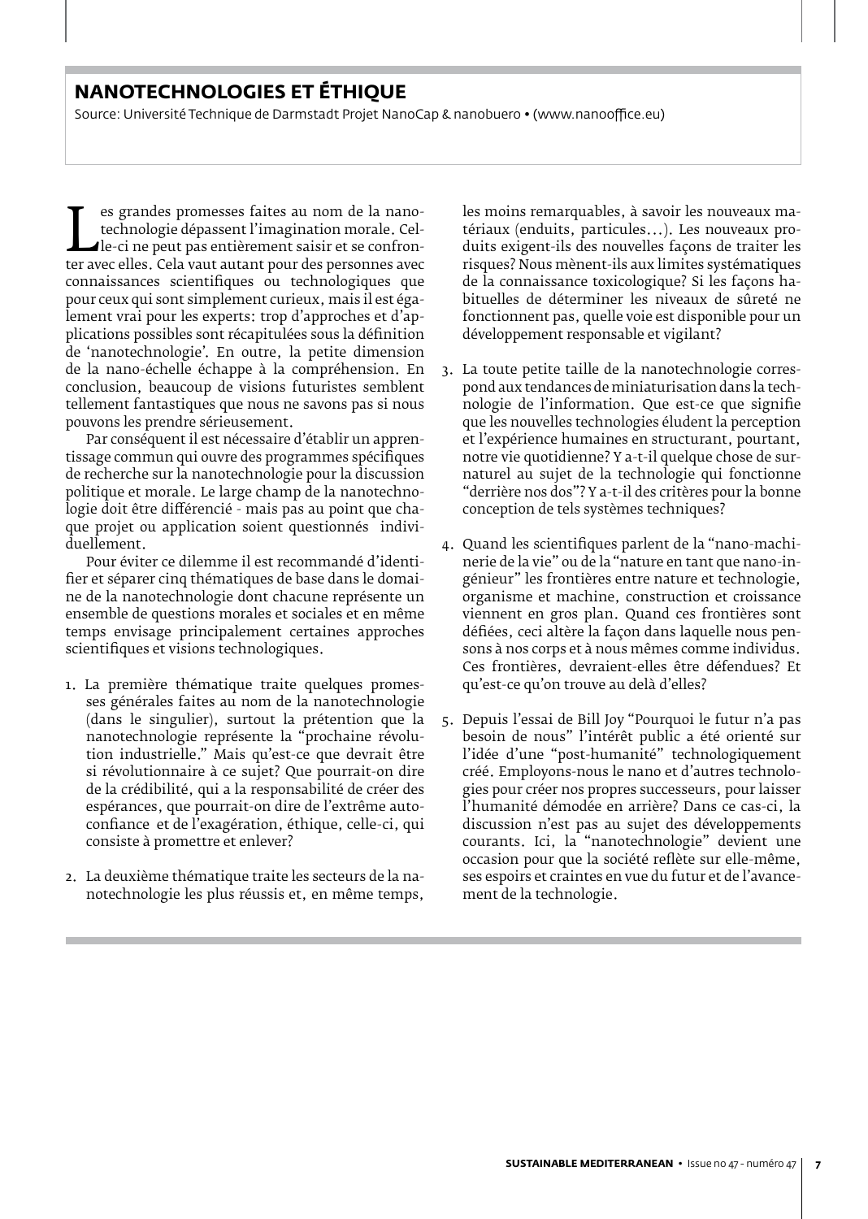## **NANOTECHNOLOGIES ET ÉTHIQUE**

Source: Université Technique de Darmstadt Projet NanoCap & nanobuero • (www.nanooffice.eu)

technologie dépassent l'imagination morale. Cel-<br>le-ci ne peut pas entièrement saisir et se confron-<br>ter avec elles. Cela vaut autant pour des personnes avec<br>connaissances -scientifiques -ou--technologiques -que es grandes promesses faites au nom de la nanotechnologie dépassent l'imagination morale. Celle-ci ne peut pas entièrement saisir et se confronconnaissances scientifiques ou technologiques que pour ceux qui sont simplement curieux, mais il est également vrai pour les experts: trop d'approches et d'applications possibles sont récapitulées sous la définition de 'nanotechnologie'. En outre, la petite dimension de la nano-échelle échappe à la compréhension. En conclusion, beaucoup de visions futuristes semblent tellement fantastiques que nous ne savons pas si nous pouvons les prendre sérieusement.

Par conséquent il est nécessaire d'établir un apprentissage commun qui ouvre des programmes spécifiques de recherche sur la nanotechnologie pour la discussion politique et morale. Le large champ de la nanotechnologie doit être différencié - mais pas au point que chaque projet ou application soient questionnés individuellement.

Pour éviter ce dilemme il est recommandé d'identifier et séparer cinq thématiques de base dans le domaine de la nanotechnologie dont chacune représente un ensemble de questions morales et sociales et en même temps envisage principalement certaines approches scientifiques et visions technologiques.

- 1. La première thématique traite quelques promesses générales faites au nom de la nanotechnologie (dans le singulier), surtout la prétention que la nanotechnologie représente la "prochaine révolution industrielle." Mais qu'est-ce que devrait être si révolutionnaire à ce sujet? Que pourrait-on dire de la crédibilité, qui a la responsabilité de créer des espérances, que pourrait-on dire de l'extrême autoconfiance et de l'exagération, éthique, celle-ci, qui consiste à promettre et enlever?
- 2. La deuxième thématique traite les secteurs de la nanotechnologie les plus réussis et, en même temps,

les moins remarquables, à savoir les nouveaux matériaux (enduits, particules...). Les nouveaux produits exigent-ils des nouvelles façons de traiter les risques? Nous mènent-ils aux limites systématiques de la connaissance toxicologique? Si les façons habituelles de déterminer les niveaux de sûreté ne fonctionnent pas, quelle voie est disponible pour un développement responsable et vigilant?

- 3. La toute petite taille de la nanotechnologie correspond aux tendances de miniaturisation dans la technologie de l'information. Que est-ce que signifie que les nouvelles technologies éludent la perception et l'expérience humaines en structurant, pourtant, notre vie quotidienne? Y a-t-il quelque chose de surnaturel au sujet de la technologie qui fonctionne "derrière nos dos"? Y a-t-il des critères pour la bonne conception de tels systèmes techniques?
- 4. Quand les scientifiques parlent de la "nano-machinerie de la vie" ou de la "nature en tant que nano-ingénieur" les frontières entre nature et technologie, organisme et machine, construction et croissance viennent en gros plan. Quand ces frontières sont défiées, ceci altère la façon dans laquelle nous pensons à nos corps et à nous mêmes comme individus. Ces frontières, devraient-elles être défendues? Et qu'est-ce qu'on trouve au delà d'elles?
- 5. Depuis l'essai de Bill Joy "Pourquoi le futur n'a pas besoin de nous" l'intérêt public a été orienté sur l'idée d'une "post-humanité" technologiquement créé. Employons-nous le nano et d'autres technologies pour créer nos propres successeurs, pour laisser l'humanité démodée en arrière? Dans ce cas-ci, la discussion n'est pas au sujet des développements courants. Ici, la "nanotechnologie" devient une occasion pour que la société reflète sur elle-même, ses espoirs et craintes en vue du futur et de l'avancement de la technologie.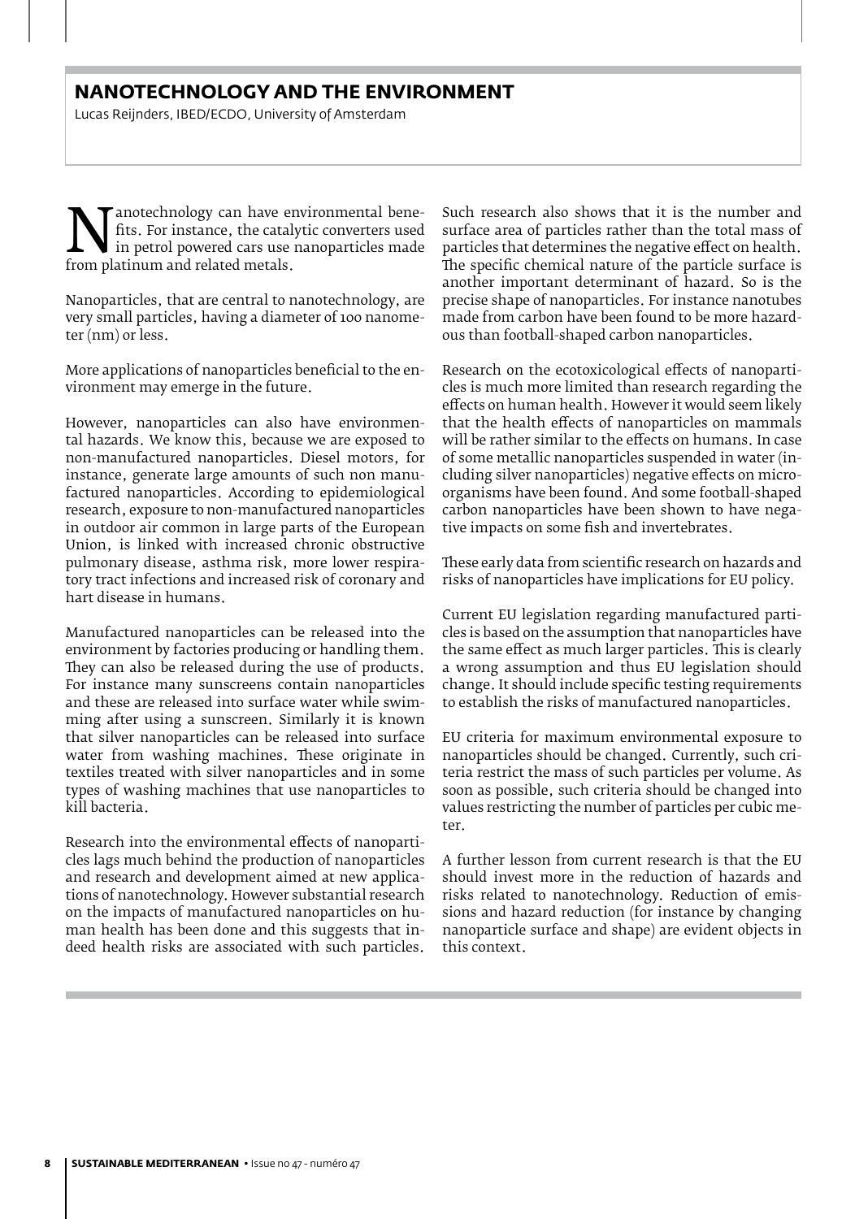## **NANOTECHNOLOGY AND THE ENVIRONMENT**

Lucas Reijnders, IBED/ECDO, University of Amsterdam

This. For instance, the catalytic converters used<br>from platinum and related metals. fits. For instance, the catalytic converters used in petrol powered cars use nanoparticles made from platinum and related metals.

Nanoparticles, that are central to nanotechnology, are very small particles, having a diameter of 100 nanometer (nm) or less.

More applications of nanoparticles beneficial to the environment may emerge in the future.

However, nanoparticles can also have environmental hazards. We know this, because we are exposed to non-manufactured nanoparticles. Diesel motors, for instance, generate large amounts of such non manufactured nanoparticles. According to epidemiological research, exposure to non-manufactured nanoparticles in outdoor air common in large parts of the European Union, is linked with increased chronic obstructive pulmonary disease, asthma risk, more lower respiratory tract infections and increased risk of coronary and hart disease in humans.

Manufactured nanoparticles can be released into the environment by factories producing or handling them. They can also be released during the use of products. For instance many sunscreens contain nanoparticles and these are released into surface water while swimming after using a sunscreen. Similarly it is known that silver nanoparticles can be released into surface water from washing machines. These originate in textiles treated with silver nanoparticles and in some types of washing machines that use nanoparticles to kill bacteria.

Research into the environmental effects of nanoparticles lags much behind the production of nanoparticles and research and development aimed at new applications of nanotechnology. However substantial research on the impacts of manufactured nanoparticles on human health has been done and this suggests that indeed health risks are associated with such particles.

Such research also shows that it is the number and surface area of particles rather than the total mass of particles that determines the negative effect on health. The specific chemical nature of the particle surface is another important determinant of hazard. So is the precise shape of nanoparticles. For instance nanotubes made from carbon have been found to be more hazardous than football-shaped carbon nanoparticles.

Research on the ecotoxicological effects of nanoparticles is much more limited than research regarding the effects on human health. However it would seem likely that the health effects of nanoparticles on mammals will be rather similar to the effects on humans. In case of some metallic nanoparticles suspended in water (including silver nanoparticles) negative effects on microorganisms have been found. And some football-shaped carbon nanoparticles have been shown to have negative impacts on some fish and invertebrates.

These early data from scientific research on hazards and risks of nanoparticles have implications for EU policy.

Current EU legislation regarding manufactured particles is based on the assumption that nanoparticles have the same effect as much larger particles. This is clearly a wrong assumption and thus EU legislation should change. It should include specific testing requirements to establish the risks of manufactured nanoparticles.

EU criteria for maximum environmental exposure to nanoparticles should be changed. Currently, such criteria restrict the mass of such particles per volume. As soon as possible, such criteria should be changed into values restricting the number of particles per cubic meter.

A further lesson from current research is that the EU should invest more in the reduction of hazards and risks related to nanotechnology. Reduction of emissions and hazard reduction (for instance by changing nanoparticle surface and shape) are evident objects in this context.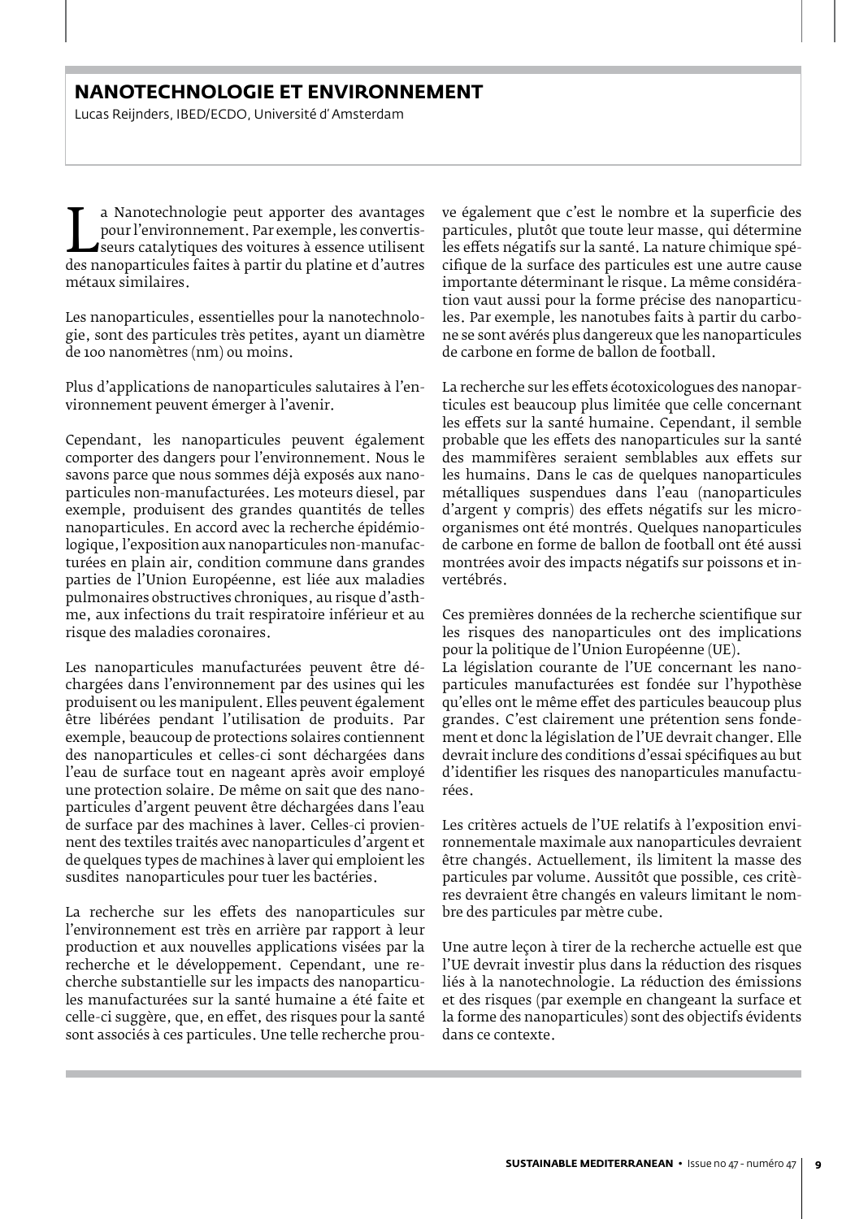## **NANOTECHNOLOGIE ET ENVIRONNEMENT**

Lucas Reijnders, IBED/ECDO, Université d' Amsterdam

pour l'environnement. Par exemple, les convertis-<br>seurs catalytiques des voitures à essence utilisent<br>des nanoparticules faites à partir du platine et d'autres<br>métaux similaires a Nanotechnologie peut apporter des avantages pour l'environnement. Par exemple, les convertisseurs catalytiques des voitures à essence utilisent métaux similaires.

Les nanoparticules, essentielles pour la nanotechnologie, sont des particules très petites, ayant un diamètre de 100 nanomètres (nm) ou moins.

Plus d'applications de nanoparticules salutaires à l'environnement peuvent émerger à l'avenir.

Cependant, les nanoparticules peuvent également comporter des dangers pour l'environnement. Nous le savons parce que nous sommes déjà exposés aux nanoparticules non-manufacturées. Les moteurs diesel, par exemple, produisent des grandes quantités de telles nanoparticules. En accord avec la recherche épidémiologique, l'exposition aux nanoparticules non-manufacturées en plain air, condition commune dans grandes parties de l'Union Européenne, est liée aux maladies pulmonaires obstructives chroniques, au risque d'asthme, aux infections du trait respiratoire inférieur et au risque des maladies coronaires.

Les nanoparticules manufacturées peuvent être déchargées dans l'environnement par des usines qui les produisent ou les manipulent. Elles peuvent également être libérées pendant l'utilisation de produits. Par exemple, beaucoup de protections solaires contiennent des nanoparticules et celles-ci sont déchargées dans l'eau de surface tout en nageant après avoir employé une protection solaire. De même on sait que des nanoparticules d'argent peuvent être déchargées dans l'eau de surface par des machines à laver. Celles-ci proviennent des textiles traités avec nanoparticules d'argent et de quelques types de machines à laver qui emploient les susdites nanoparticules pour tuer les bactéries.

La recherche sur les effets des nanoparticules sur l'environnement est très en arrière par rapport à leur production et aux nouvelles applications visées par la recherche et le développement. Cependant, une recherche substantielle sur les impacts des nanoparticules manufacturées sur la santé humaine a été faite et celle-ci suggère, que, en effet, des risques pour la santé sont associés à ces particules. Une telle recherche prou-

ve également que c'est le nombre et la superficie des particules, plutôt que toute leur masse, qui détermine les effets négatifs sur la santé. La nature chimique spécifique de la surface des particules est une autre cause importante déterminant le risque. La même considération vaut aussi pour la forme précise des nanoparticules. Par exemple, les nanotubes faits à partir du carbone se sont avérés plus dangereux que les nanoparticules de carbone en forme de ballon de football.

La recherche sur les effets écotoxicologues des nanoparticules est beaucoup plus limitée que celle concernant les effets sur la santé humaine. Cependant, il semble probable que les effets des nanoparticules sur la santé des mammifères seraient semblables aux effets sur les humains. Dans le cas de quelques nanoparticules métalliques suspendues dans l'eau (nanoparticules d'argent y compris) des effets négatifs sur les microorganismes ont été montrés. Quelques nanoparticules de carbone en forme de ballon de football ont été aussi montrées avoir des impacts négatifs sur poissons et invertébrés.

Ces premières données de la recherche scientifique sur les risques des nanoparticules ont des implications pour la politique de l'Union Européenne (UE).

La législation courante de l'UE concernant les nanoparticules manufacturées est fondée sur l'hypothèse qu'elles ont le même effet des particules beaucoup plus grandes. C'est clairement une prétention sens fondement et donc la législation de l'UE devrait changer. Elle devrait inclure des conditions d'essai spécifiques au but d'identifier les risques des nanoparticules manufacturées.

Les critères actuels de l'UE relatifs à l'exposition environnementale maximale aux nanoparticules devraient être changés. Actuellement, ils limitent la masse des particules par volume. Aussitôt que possible, ces critères devraient être changés en valeurs limitant le nombre des particules par mètre cube.

Une autre leçon à tirer de la recherche actuelle est que l'UE devrait investir plus dans la réduction des risques liés à la nanotechnologie. La réduction des émissions et des risques (par exemple en changeant la surface et la forme des nanoparticules) sont des objectifs évidents dans ce contexte.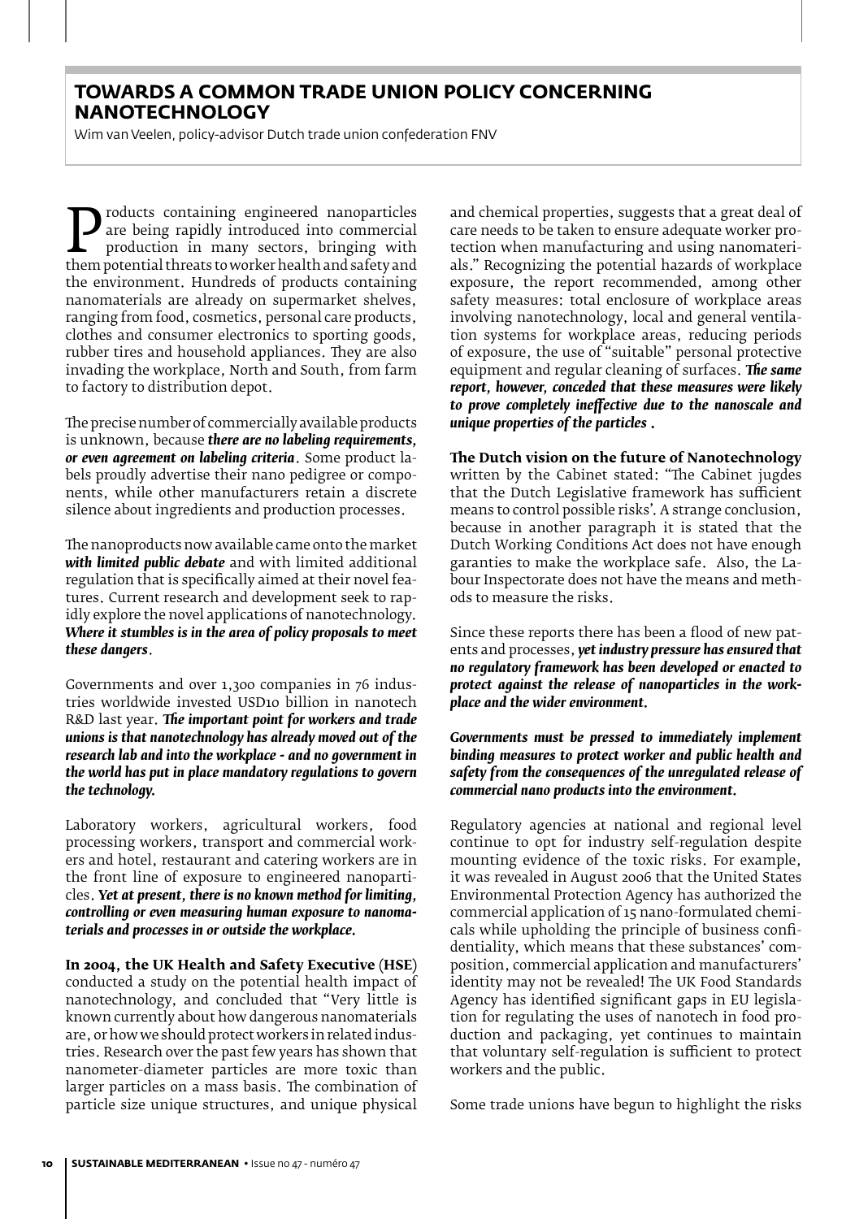## **TOWARDS A COMMON TRADE UNION POLICY CONCERNING NANOTECHNOLOGY**

Wim van Veelen, policy-advisor Dutch trade union confederation FNV

**Products containing engineered nanoparticles**<br>
production in many sectors, bringing with<br>
them potential threats to worker health and safety and<br>
the environment Hundreds of products containing are being rapidly introduced into commercial production in many sectors, bringing with the environment. Hundreds of products containing nanomaterials are already on supermarket shelves, ranging from food, cosmetics, personal care products, clothes and consumer electronics to sporting goods, rubber tires and household appliances. They are also invading the workplace, North and South, from farm to factory to distribution depot.

The precise number of commercially available products is unknown, because *there are no labeling requirements, or even agreement on labeling criteria*. Some product labels proudly advertise their nano pedigree or components, while other manufacturers retain a discrete silence about ingredients and production processes.

The nanoproducts now available came onto the market *with limited public debate* and with limited additional regulation that is specifically aimed at their novel features. Current research and development seek to rapidly explore the novel applications of nanotechnology. *Where it stumbles is in the area of policy proposals to meet these dangers*.

Governments and over 1,300 companies in 76 industries worldwide invested USD10 billion in nanotech R&D last year. *The important point for workers and trade unions is that nanotechnology has already moved out of the research lab and into the workplace - and no government in the world has put in place mandatory regulations to govern the technology.*

Laboratory workers, agricultural workers, food processing workers, transport and commercial workers and hotel, restaurant and catering workers are in the front line of exposure to engineered nanoparticles. *Yet at present, there is no known method for limiting, controlling or even measuring human exposure to nanomaterials and processes in or outside the workplace.*

**In 2004, the UK Health and Safety Executive (HSE)** conducted a study on the potential health impact of nanotechnology, and concluded that "Very little is known currently about how dangerous nanomaterials are, or how we should protect workers in related industries. Research over the past few years has shown that nanometer-diameter particles are more toxic than larger particles on a mass basis. The combination of particle size unique structures, and unique physical and chemical properties, suggests that a great deal of care needs to be taken to ensure adequate worker protection when manufacturing and using nanomaterials." Recognizing the potential hazards of workplace exposure, the report recommended, among other safety measures: total enclosure of workplace areas involving nanotechnology, local and general ventilation systems for workplace areas, reducing periods of exposure, the use of "suitable" personal protective equipment and regular cleaning of surfaces. *The same report, however, conceded that these measures were likely to prove completely ineffective due to the nanoscale and unique properties of the particles* **.** 

**The Dutch vision on the future of Nanotechnology** written by the Cabinet stated: "The Cabinet jugdes that the Dutch Legislative framework has sufficient means to control possible risks'. A strange conclusion, because in another paragraph it is stated that the Dutch Working Conditions Act does not have enough garanties to make the workplace safe. Also, the Labour Inspectorate does not have the means and methods to measure the risks.

Since these reports there has been a flood of new patents and processes, *yet industry pressure has ensured that no regulatory framework has been developed or enacted to protect against the release of nanoparticles in the workplace and the wider environment.*

*Governments must be pressed to immediately implement binding measures to protect worker and public health and safety from the consequences of the unregulated release of commercial nano products into the environment.*

Regulatory agencies at national and regional level continue to opt for industry self-regulation despite mounting evidence of the toxic risks. For example, it was revealed in August 2006 that the United States Environmental Protection Agency has authorized the commercial application of 15 nano-formulated chemicals while upholding the principle of business confidentiality, which means that these substances' composition, commercial application and manufacturers' identity may not be revealed! The UK Food Standards Agency has identified significant gaps in EU legislation for regulating the uses of nanotech in food production and packaging, yet continues to maintain that voluntary self-regulation is sufficient to protect workers and the public.

Some trade unions have begun to highlight the risks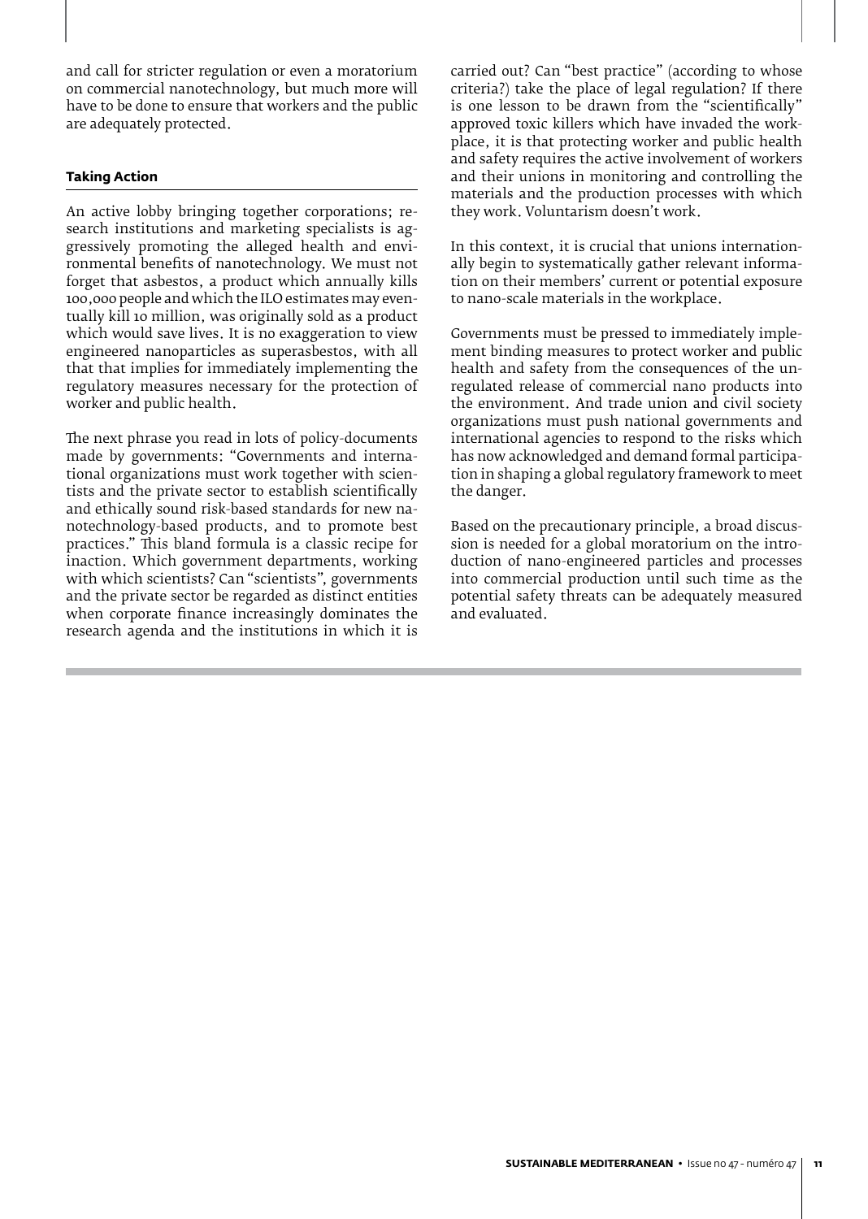and call for stricter regulation or even a moratorium on commercial nanotechnology, but much more will have to be done to ensure that workers and the public are adequately protected.

#### **Taking Action**

An active lobby bringing together corporations; research institutions and marketing specialists is aggressively promoting the alleged health and environmental benefits of nanotechnology. We must not forget that asbestos, a product which annually kills 100,000 people and which the ILO estimates may eventually kill 10 million, was originally sold as a product which would save lives. It is no exaggeration to view engineered nanoparticles as superasbestos, with all that that implies for immediately implementing the regulatory measures necessary for the protection of worker and public health.

The next phrase you read in lots of policy-documents made by governments: "Governments and international organizations must work together with scientists and the private sector to establish scientifically and ethically sound risk-based standards for new nanotechnology-based products, and to promote best practices." This bland formula is a classic recipe for inaction. Which government departments, working with which scientists? Can "scientists", governments and the private sector be regarded as distinct entities when corporate finance increasingly dominates the research agenda and the institutions in which it is

carried out? Can "best practice" (according to whose criteria?) take the place of legal regulation? If there is one lesson to be drawn from the "scientifically" approved toxic killers which have invaded the workplace, it is that protecting worker and public health and safety requires the active involvement of workers and their unions in monitoring and controlling the materials and the production processes with which they work. Voluntarism doesn't work.

In this context, it is crucial that unions internationally begin to systematically gather relevant information on their members' current or potential exposure to nano-scale materials in the workplace.

Governments must be pressed to immediately implement binding measures to protect worker and public health and safety from the consequences of the unregulated release of commercial nano products into the environment. And trade union and civil society organizations must push national governments and international agencies to respond to the risks which has now acknowledged and demand formal participation in shaping a global regulatory framework to meet the danger.

Based on the precautionary principle, a broad discussion is needed for a global moratorium on the introduction of nano-engineered particles and processes into commercial production until such time as the potential safety threats can be adequately measured and evaluated.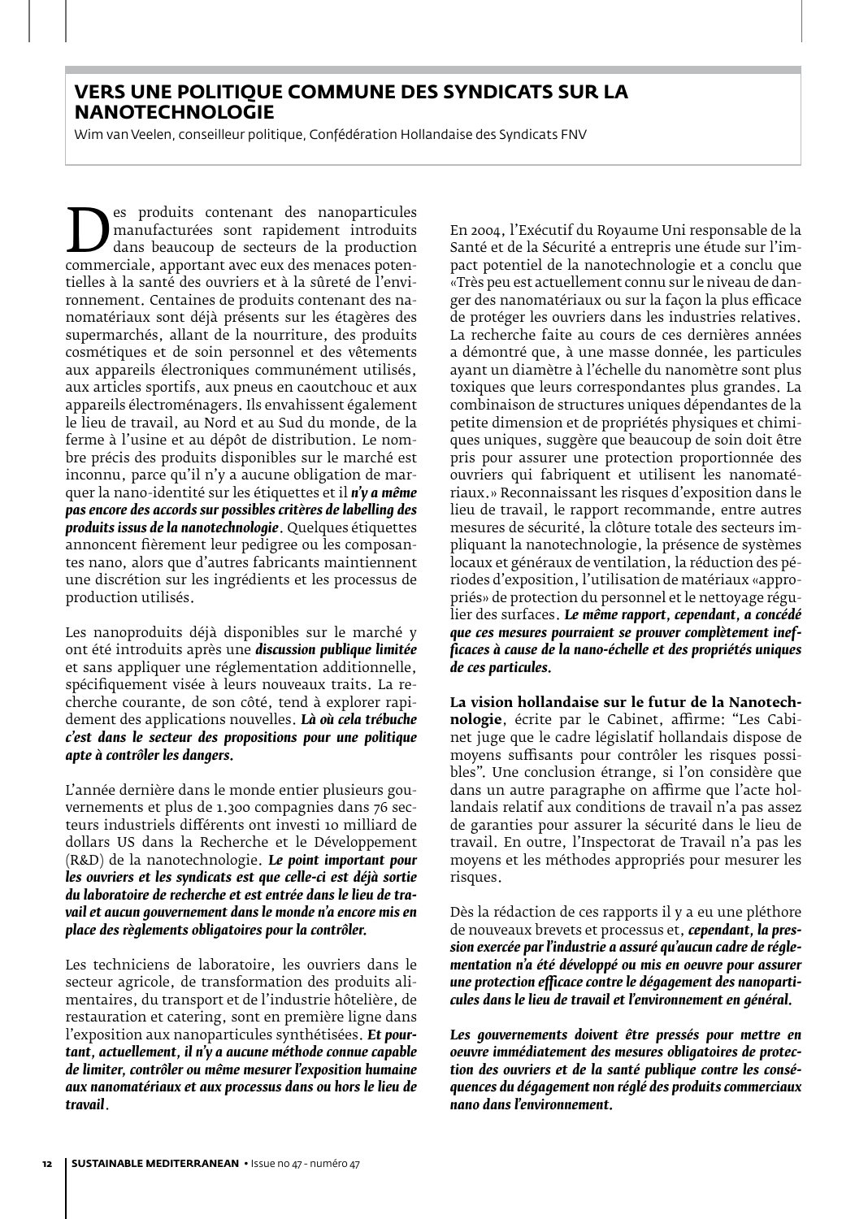## **VERS UNE POLITIQUE COMMUNE DES SYNDICATS SUR LA NANOTECHNOLOGIE**

Wim van Veelen, conseilleur politique, Confédération Hollandaise des Syndicats FNV

Es produits contenant des nanoparticules<br>
dans beaucoup de secteurs de la production<br>
commerciale, apportant avec eux des menaces poten-<br>
tielles à la santé des ouvriers et à la sûreté de l'envimanufacturées sont rapidement introduits dans beaucoup de secteurs de la production tielles à la santé des ouvriers et à la sûreté de l'environnement. Centaines de produits contenant des nanomatériaux sont déjà présents sur les étagères des supermarchés, allant de la nourriture, des produits cosmétiques et de soin personnel et des vêtements aux appareils électroniques communément utilisés, aux articles sportifs, aux pneus en caoutchouc et aux appareils électroménagers. Ils envahissent également le lieu de travail, au Nord et au Sud du monde, de la ferme à l'usine et au dépôt de distribution. Le nombre précis des produits disponibles sur le marché est inconnu, parce qu'il n'y a aucune obligation de marquer la nano-identité sur les étiquettes et il *n'y a même pas encore des accords sur possibles critères de labelling des produits issus de la nanotechnologie*. Quelques étiquettes annoncent fièrement leur pedigree ou les composantes nano, alors que d'autres fabricants maintiennent une discrétion sur les ingrédients et les processus de production utilisés.

Les nanoproduits déjà disponibles sur le marché y ont été introduits après une *discussion publique limitée* et sans appliquer une réglementation additionnelle, spécifiquement visée à leurs nouveaux traits. La recherche courante, de son côté, tend à explorer rapidement des applications nouvelles. *Là où cela trébuche c'est dans le secteur des propositions pour une politique apte à contrôler les dangers.* 

L'année dernière dans le monde entier plusieurs gouvernements et plus de 1.300 compagnies dans 76 secteurs industriels différents ont investi 10 milliard de dollars US dans la Recherche et le Développement (R&D) de la nanotechnologie. *Le point important pour les ouvriers et les syndicats est que celle-ci est déjà sortie du laboratoire de recherche et est entrée dans le lieu de travail et aucun gouvernement dans le monde n'a encore mis en place des règlements obligatoires pour la contrôler.*

Les techniciens de laboratoire, les ouvriers dans le secteur agricole, de transformation des produits alimentaires, du transport et de l'industrie hôtelière, de restauration et catering, sont en première ligne dans l'exposition aux nanoparticules synthétisées. *Et pourtant, actuellement, il n'y a aucune méthode connue capable de limiter, contrôler ou même mesurer l'exposition humaine aux nanomatériaux et aux processus dans ou hors le lieu de travail*.

En 2004, l'Exécutif du Royaume Uni responsable de la Santé et de la Sécurité a entrepris une étude sur l'impact potentiel de la nanotechnologie et a conclu que «Très peu est actuellement connu sur le niveau de danger des nanomatériaux ou sur la façon la plus efficace de protéger les ouvriers dans les industries relatives. La recherche faite au cours de ces dernières années a démontré que, à une masse donnée, les particules ayant un diamètre à l'échelle du nanomètre sont plus toxiques que leurs correspondantes plus grandes. La combinaison de structures uniques dépendantes de la petite dimension et de propriétés physiques et chimiques uniques, suggère que beaucoup de soin doit être pris pour assurer une protection proportionnée des ouvriers qui fabriquent et utilisent les nanomatériaux.» Reconnaissant les risques d'exposition dans le lieu de travail, le rapport recommande, entre autres mesures de sécurité, la clôture totale des secteurs impliquant la nanotechnologie, la présence de systèmes locaux et généraux de ventilation, la réduction des périodes d'exposition, l'utilisation de matériaux «appropriés» de protection du personnel et le nettoyage régulier des surfaces. *Le même rapport, cependant, a concédé que ces mesures pourraient se prouver complètement inefficaces à cause de la nano-échelle et des propriétés uniques de ces particules.*

**La vision hollandaise sur le futur de la Nanotechnologie**, écrite par le Cabinet, affirme: "Les Cabinet juge que le cadre législatif hollandais dispose de moyens suffisants pour contrôler les risques possibles". Une conclusion étrange, si l'on considère que dans un autre paragraphe on affirme que l'acte hollandais relatif aux conditions de travail n'a pas assez de garanties pour assurer la sécurité dans le lieu de travail. En outre, l'Inspectorat de Travail n'a pas les moyens et les méthodes appropriés pour mesurer les risques.

Dès la rédaction de ces rapports il y a eu une pléthore de nouveaux brevets et processus et, *cependant, la pression exercée par l'industrie a assuré qu'aucun cadre de réglementation n'a été développé ou mis en oeuvre pour assurer une protection efficace contre le dégagement des nanoparticules dans le lieu de travail et l'environnement en général.*

Les gouvernements doivent être pressés pour mettre en *oeuvre immédiatement des mesures obligatoires de protection des ouvriers et de la santé publique contre les conséquences du dégagement non réglé des produits commerciaux nano dans l'environnement.*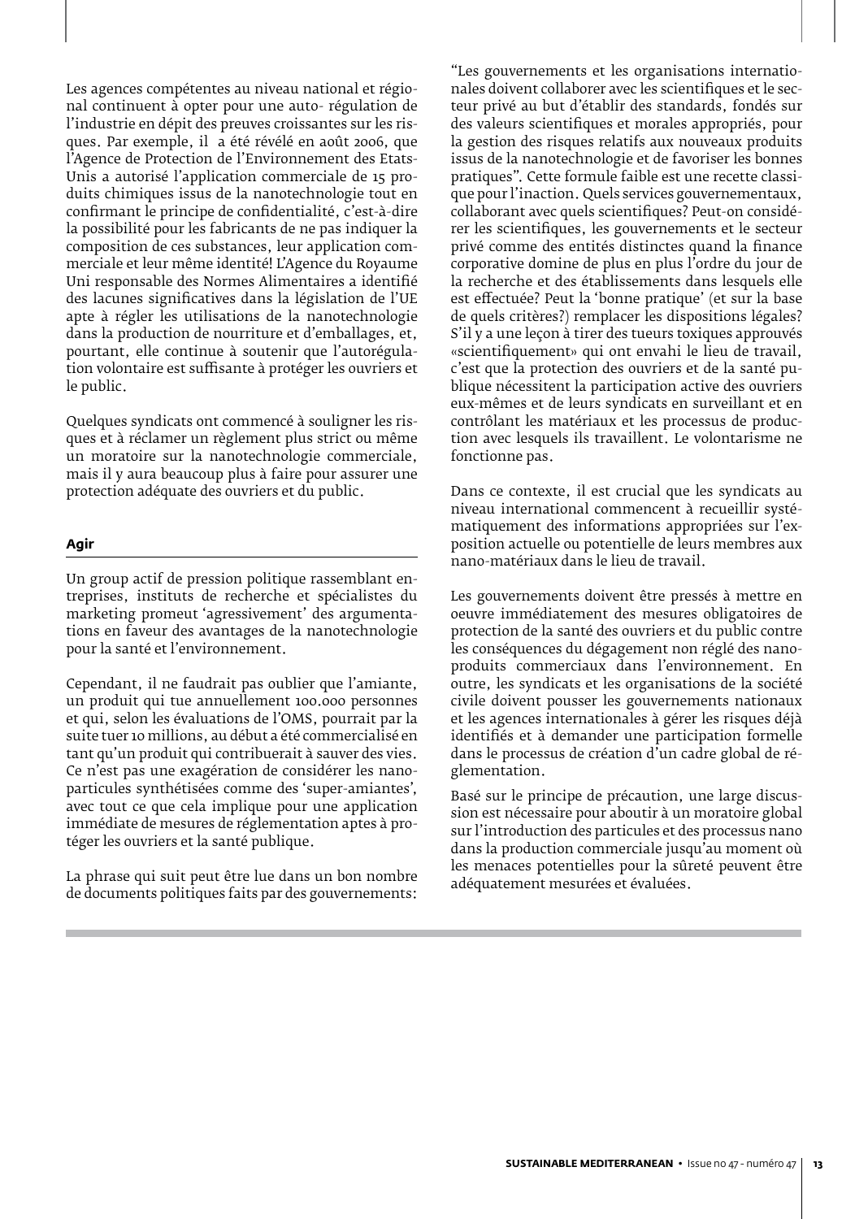Les agences compétentes au niveau national et régional continuent à opter pour une auto- régulation de l'industrie en dépit des preuves croissantes sur les risques. Par exemple, il a été révélé en août 2006, que l'Agence de Protection de l'Environnement des Etats-Unis a autorisé l'application commerciale de 15 produits chimiques issus de la nanotechnologie tout en confirmant le principe de confidentialité, c'est-à-dire la possibilité pour les fabricants de ne pas indiquer la composition de ces substances, leur application commerciale et leur même identité! L'Agence du Royaume Uni responsable des Normes Alimentaires a identifié des lacunes significatives dans la législation de l'UE apte à régler les utilisations de la nanotechnologie dans la production de nourriture et d'emballages, et, pourtant, elle continue à soutenir que l'autorégulation volontaire est suffisante à protéger les ouvriers et le public.

Quelques syndicats ont commencé à souligner les risques et à réclamer un règlement plus strict ou même un moratoire sur la nanotechnologie commerciale, mais il y aura beaucoup plus à faire pour assurer une protection adéquate des ouvriers et du public.

#### **Agir**

Un group actif de pression politique rassemblant entreprises, instituts de recherche et spécialistes du marketing promeut 'agressivement' des argumentations en faveur des avantages de la nanotechnologie pour la santé et l'environnement.

Cependant, il ne faudrait pas oublier que l'amiante, un produit qui tue annuellement 100.000 personnes et qui, selon les évaluations de l'OMS, pourrait par la suite tuer 10 millions, au début a été commercialisé en tant qu'un produit qui contribuerait à sauver des vies. Ce n'est pas une exagération de considérer les nanoparticules synthétisées comme des 'super-amiantes', avec tout ce que cela implique pour une application immédiate de mesures de réglementation aptes à protéger les ouvriers et la santé publique.

La phrase qui suit peut être lue dans un bon nombre de documents politiques faits par des gouvernements:

"Les gouvernements et les organisations internationales doivent collaborer avec les scientifiques et le secteur privé au but d'établir des standards, fondés sur des valeurs scientifiques et morales appropriés, pour la gestion des risques relatifs aux nouveaux produits issus de la nanotechnologie et de favoriser les bonnes pratiques". Cette formule faible est une recette classique pour l'inaction. Quels services gouvernementaux, collaborant avec quels scientifiques? Peut-on considérer les scientifiques, les gouvernements et le secteur privé comme des entités distinctes quand la finance corporative domine de plus en plus l'ordre du jour de la recherche et des établissements dans lesquels elle est effectuée? Peut la 'bonne pratique' (et sur la base de quels critères?) remplacer les dispositions légales? S'il y a une leçon à tirer des tueurs toxiques approuvés «scientifiquement» qui ont envahi le lieu de travail, c'est que la protection des ouvriers et de la santé publique nécessitent la participation active des ouvriers eux-mêmes et de leurs syndicats en surveillant et en contrôlant les matériaux et les processus de production avec lesquels ils travaillent. Le volontarisme ne fonctionne pas.

Dans ce contexte, il est crucial que les syndicats au niveau international commencent à recueillir systématiquement des informations appropriées sur l'exposition actuelle ou potentielle de leurs membres aux nano-matériaux dans le lieu de travail.

Les gouvernements doivent être pressés à mettre en oeuvre immédiatement des mesures obligatoires de protection de la santé des ouvriers et du public contre les conséquences du dégagement non réglé des nanoproduits commerciaux dans l'environnement. En outre, les syndicats et les organisations de la société civile doivent pousser les gouvernements nationaux et les agences internationales à gérer les risques déjà identifiés et à demander une participation formelle dans le processus de création d'un cadre global de réglementation.

Basé sur le principe de précaution, une large discussion est nécessaire pour aboutir à un moratoire global sur l'introduction des particules et des processus nano dans la production commerciale jusqu'au moment où les menaces potentielles pour la sûreté peuvent être adéquatement mesurées et évaluées.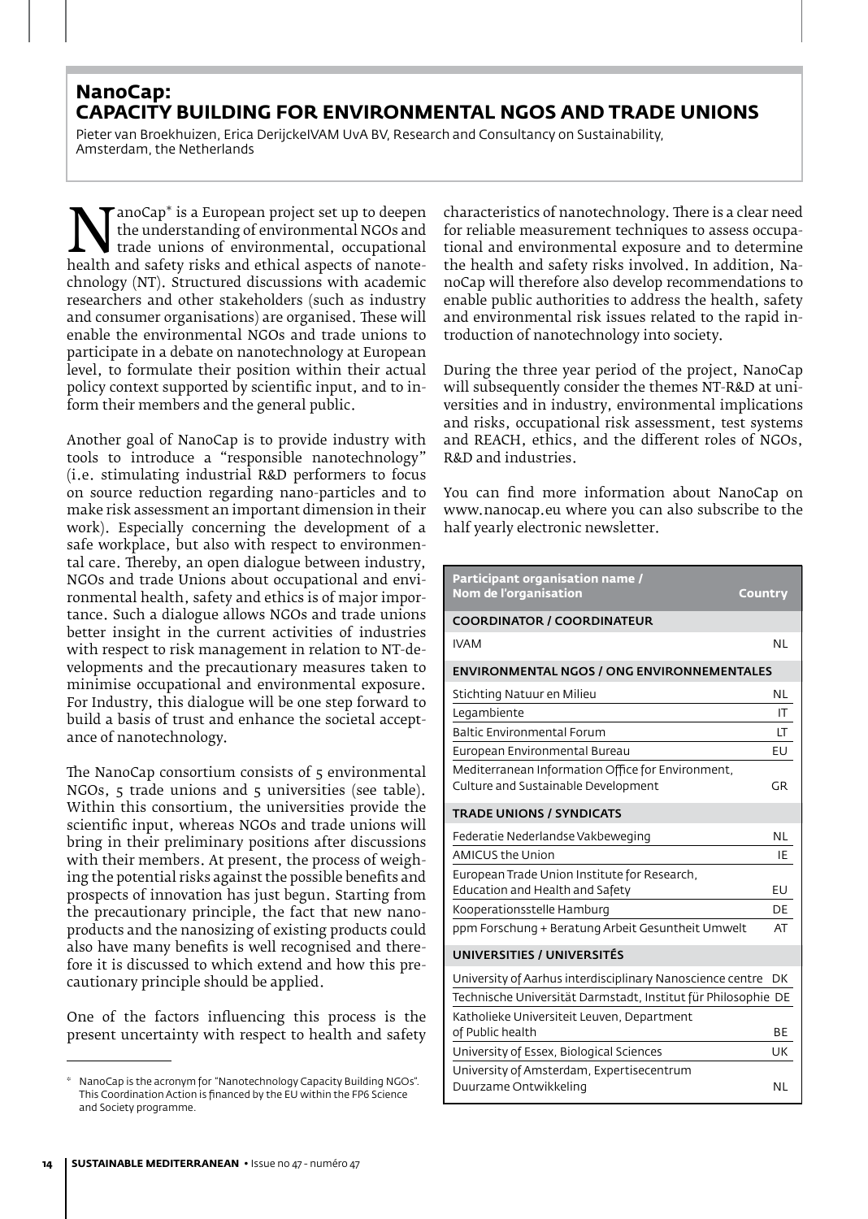## **NanoCap: CAPACITY BUILDING FOR ENVIRONMENTAL NGOS AND TRADE UNIONS**

Pieter van Broekhuizen, Erica DerijckeIVAM UvA BV, Research and Consultancy on Sustainability, Amsterdam, the Netherlands

**NanoCap is a European project set up to deepen**<br>the understanding of environmental, occupational<br>health and safety risks and ethical aspects of nanote-<br>chnology (NT). Structured discussions with academic the understanding of environmental NGOs and trade unions of environmental, occupational chnology (NT). Structured discussions with academic researchers and other stakeholders (such as industry and consumer organisations) are organised. These will enable the environmental NGOs and trade unions to participate in a debate on nanotechnology at European level, to formulate their position within their actual policy context supported by scientific input, and to inform their members and the general public.

Another goal of NanoCap is to provide industry with tools to introduce a "responsible nanotechnology" (i.e. stimulating industrial R&D performers to focus on source reduction regarding nano-particles and to make risk assessment an important dimension in their work). Especially concerning the development of a safe workplace, but also with respect to environmental care. Thereby, an open dialogue between industry, NGOs and trade Unions about occupational and environmental health, safety and ethics is of major importance. Such a dialogue allows NGOs and trade unions better insight in the current activities of industries with respect to risk management in relation to NT-developments and the precautionary measures taken to minimise occupational and environmental exposure. For Industry, this dialogue will be one step forward to build a basis of trust and enhance the societal acceptance of nanotechnology.

The NanoCap consortium consists of 5 environmental NGOs, 5 trade unions and 5 universities (see table). Within this consortium, the universities provide the scientific input, whereas NGOs and trade unions will bring in their preliminary positions after discussions with their members. At present, the process of weighing the potential risks against the possible benefits and prospects of innovation has just begun. Starting from the precautionary principle, the fact that new nanoproducts and the nanosizing of existing products could also have many benefits is well recognised and therefore it is discussed to which extend and how this precautionary principle should be applied.

One of the factors influencing this process is the present uncertainty with respect to health and safety characteristics of nanotechnology. There is a clear need for reliable measurement techniques to assess occupational and environmental exposure and to determine the health and safety risks involved. In addition, NanoCap will therefore also develop recommendations to enable public authorities to address the health, safety and environmental risk issues related to the rapid introduction of nanotechnology into society.

During the three year period of the project, NanoCap will subsequently consider the themes NT-R&D at universities and in industry, environmental implications and risks, occupational risk assessment, test systems and REACH, ethics, and the different roles of NGOs, R&D and industries.

You can find more information about NanoCap on www.nanocap.eu where you can also subscribe to the half yearly electronic newsletter.

| Participant organisation name /<br>Nom de l'organisation                                 | Country   |  |  |  |
|------------------------------------------------------------------------------------------|-----------|--|--|--|
| <b>COORDINATOR / COORDINATEUR</b>                                                        |           |  |  |  |
| <b>IVAM</b>                                                                              | <b>NL</b> |  |  |  |
| <b>ENVIRONMENTAL NGOS / ONG ENVIRONNEMENTALES</b>                                        |           |  |  |  |
| Stichting Natuur en Milieu                                                               | NL        |  |  |  |
| Legambiente                                                                              | IT.       |  |  |  |
| <b>Baltic Environmental Forum</b>                                                        | LT        |  |  |  |
| European Environmental Bureau                                                            | EU        |  |  |  |
| Mediterranean Information Office for Environment,<br>Culture and Sustainable Development | <b>GR</b> |  |  |  |
| <b>TRADE UNIONS / SYNDICATS</b>                                                          |           |  |  |  |
| Federatie Nederlandse Vakbeweging                                                        | <b>NL</b> |  |  |  |
| <b>AMICUS the Union</b>                                                                  | IE        |  |  |  |
| European Trade Union Institute for Research,                                             |           |  |  |  |
| Education and Health and Safety                                                          | EU        |  |  |  |
| Kooperationsstelle Hamburg                                                               | DE        |  |  |  |
| ppm Forschung + Beratung Arbeit Gesuntheit Umwelt                                        | AT        |  |  |  |
| UNIVERSITIES / UNIVERSITÉS                                                               |           |  |  |  |
| University of Aarhus interdisciplinary Nanoscience centre                                | DK        |  |  |  |
| Technische Universität Darmstadt, Institut für Philosophie DE                            |           |  |  |  |
| Katholieke Universiteit Leuven, Department                                               |           |  |  |  |
| of Public health                                                                         | ВE        |  |  |  |
| University of Essex, Biological Sciences                                                 | UK        |  |  |  |
| University of Amsterdam, Expertisecentrum                                                |           |  |  |  |
| Duurzame Ontwikkeling                                                                    | <b>NL</b> |  |  |  |

NanoCap is the acronym for "Nanotechnology Capacity Building NGOs". This Coordination Action is financed by the EU within the FP6 Science and Society programme.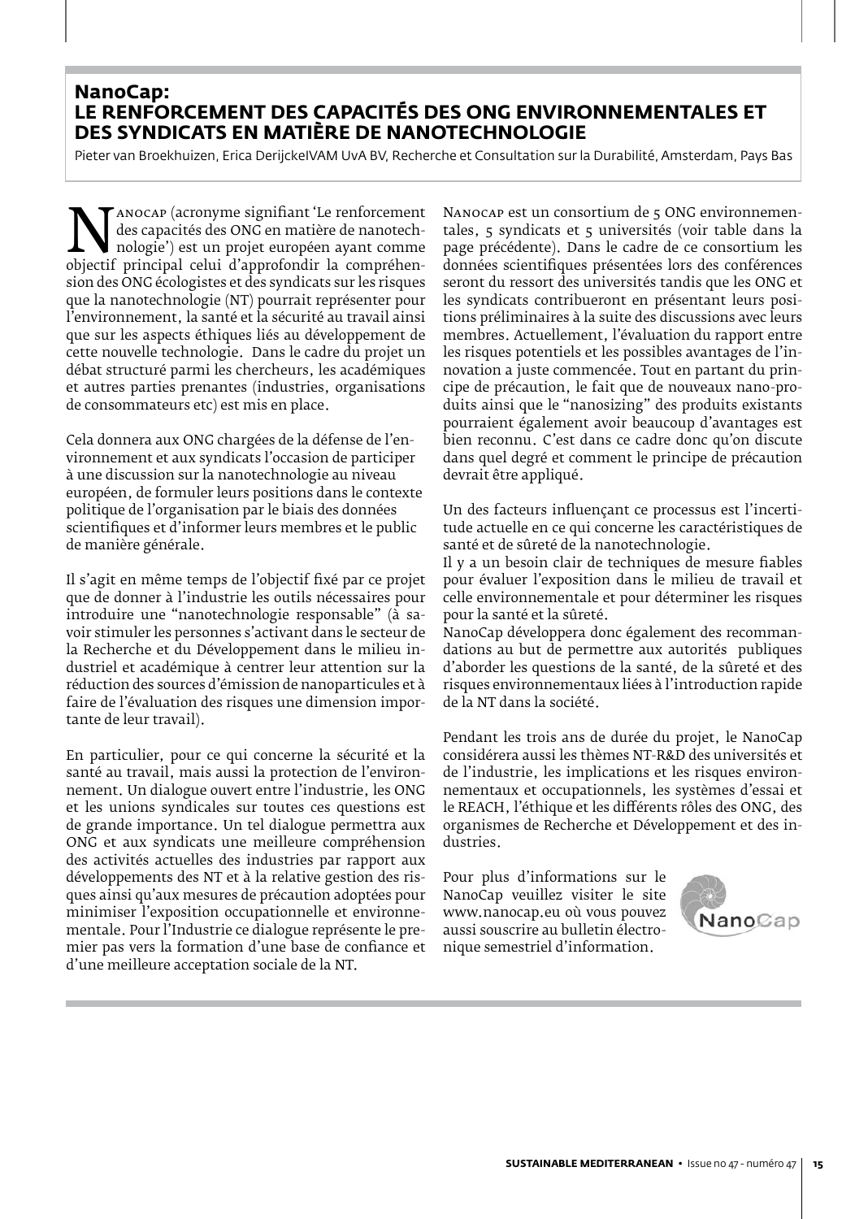#### **NanoCap: LE RENFORCEMENT DES CAPACITÉS DES ONG ENVIRONNEMENTALES ET DES SYNDICATS EN MATIÈRE DE NANOTECHNOLOGIE**

Pieter van Broekhuizen, Erica DerijckeIVAM UvA BV, Recherche et Consultation sur la Durabilité, Amsterdam, Pays Bas

 $\sum_{\text{abs}}$  anocap (acronyme sigmilant Le renforcement des capacités des ONG en matière de nanotech-<br>
nologie') est un projet européen ayant comme<br>
objectif principal celui d'approfondir la compréhen-<br>
sion des ONG écologis des capacités des ONG en matière de nanotechnologie') est un projet européen ayant comme sion des ONG écologistes et des syndicats sur les risques que la nanotechnologie (NT) pourrait représenter pour l'environnement, la santé et la sécurité au travail ainsi que sur les aspects éthiques liés au développement de cette nouvelle technologie. Dans le cadre du projet un débat structuré parmi les chercheurs, les académiques et autres parties prenantes (industries, organisations de consommateurs etc) est mis en place.

Cela donnera aux ONG chargées de la défense de l'environnement et aux syndicats l'occasion de participer à une discussion sur la nanotechnologie au niveau européen, de formuler leurs positions dans le contexte politique de l'organisation par le biais des données scientifiques et d'informer leurs membres et le public de manière générale.

Il s'agit en même temps de l'objectif fixé par ce projet que de donner à l'industrie les outils nécessaires pour introduire une "nanotechnologie responsable" (à savoir stimuler les personnes s'activant dans le secteur de la Recherche et du Développement dans le milieu industriel et académique à centrer leur attention sur la réduction des sources d'émission de nanoparticules et à faire de l'évaluation des risques une dimension importante de leur travail).

En particulier, pour ce qui concerne la sécurité et la santé au travail, mais aussi la protection de l'environnement. Un dialogue ouvert entre l'industrie, les ONG et les unions syndicales sur toutes ces questions est de grande importance. Un tel dialogue permettra aux ONG et aux syndicats une meilleure compréhension des activités actuelles des industries par rapport aux développements des NT et à la relative gestion des risques ainsi qu'aux mesures de précaution adoptées pour minimiser l'exposition occupationnelle et environnementale. Pour l'Industrie ce dialogue représente le premier pas vers la formation d'une base de confiance et d'une meilleure acceptation sociale de la NT.

Nanocap est un consortium de 5 ONG environnementales, 5 syndicats et 5 universités (voir table dans la page précédente). Dans le cadre de ce consortium les données scientifiques présentées lors des conférences seront du ressort des universités tandis que les ONG et les syndicats contribueront en présentant leurs positions préliminaires à la suite des discussions avec leurs membres. Actuellement, l'évaluation du rapport entre les risques potentiels et les possibles avantages de l'innovation a juste commencée. Tout en partant du principe de précaution, le fait que de nouveaux nano-produits ainsi que le "nanosizing" des produits existants pourraient également avoir beaucoup d'avantages est bien reconnu. C'est dans ce cadre donc qu'on discute dans quel degré et comment le principe de précaution devrait être appliqué.

Un des facteurs influençant ce processus est l'incertitude actuelle en ce qui concerne les caractéristiques de santé et de sûreté de la nanotechnologie.

Il y a un besoin clair de techniques de mesure fiables pour évaluer l'exposition dans le milieu de travail et celle environnementale et pour déterminer les risques pour la santé et la sûreté.

NanoCap développera donc également des recommandations au but de permettre aux autorités publiques d'aborder les questions de la santé, de la sûreté et des risques environnementaux liées à l'introduction rapide de la NT dans la société.

Pendant les trois ans de durée du projet, le NanoCap considérera aussi les thèmes NT-R&D des universités et de l'industrie, les implications et les risques environnementaux et occupationnels, les systèmes d'essai et le REACH, l'éthique et les différents rôles des ONG, des organismes de Recherche et Développement et des industries.

Pour plus d'informations sur le NanoCap veuillez visiter le site www.nanocap.eu où vous pouvez aussi souscrire au bulletin électronique semestriel d'information.

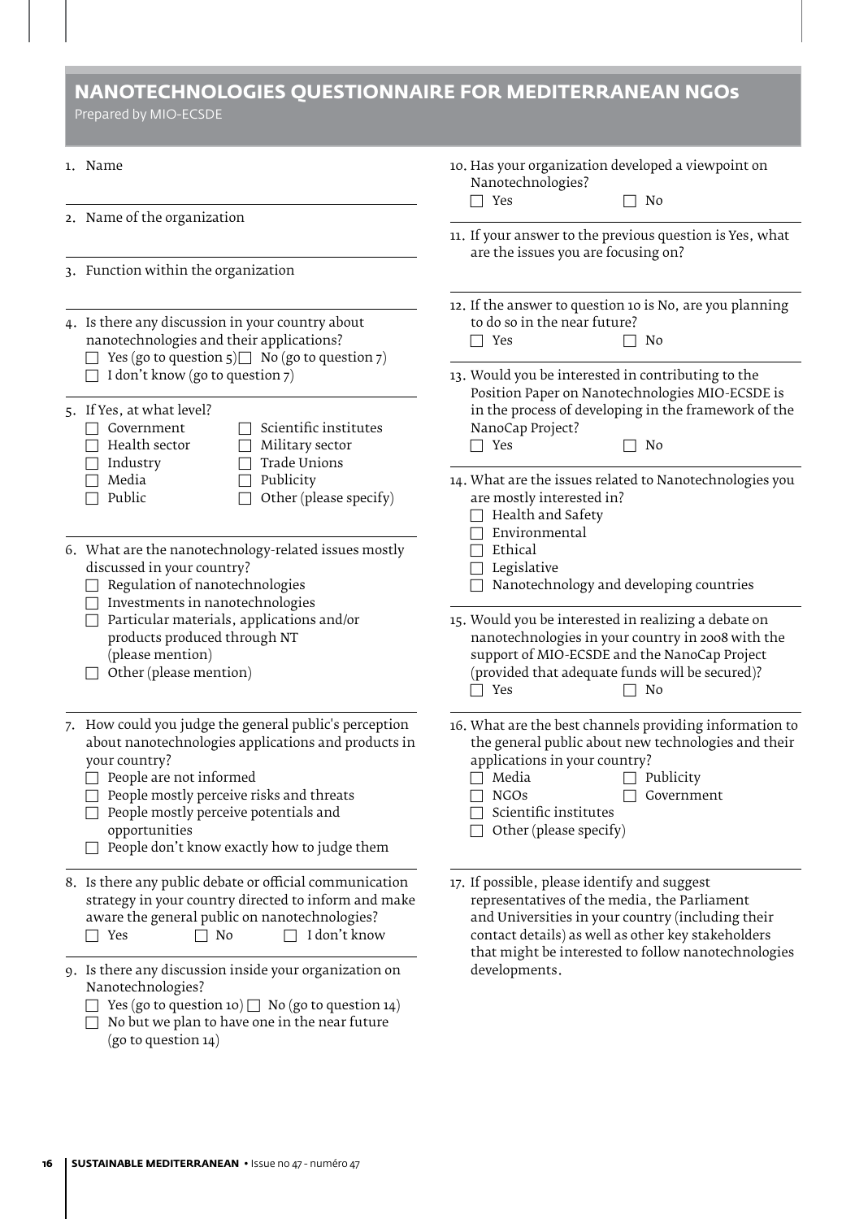## **NANOTECHNOLOGIES QUESTIONNAIRE FOR MEDITERRANEAN NGOs**

Prepared by MIO-ECSDE

| 1. Name                                                                                                                                                                       |                                                                                                                                                                                                                                                                                                                              | 10. Has your organization developed a viewpoint on<br>Nanotechnologies?<br>$\Box$ Yes<br>No                                                                                                                                                                         |  |
|-------------------------------------------------------------------------------------------------------------------------------------------------------------------------------|------------------------------------------------------------------------------------------------------------------------------------------------------------------------------------------------------------------------------------------------------------------------------------------------------------------------------|---------------------------------------------------------------------------------------------------------------------------------------------------------------------------------------------------------------------------------------------------------------------|--|
|                                                                                                                                                                               | 2. Name of the organization                                                                                                                                                                                                                                                                                                  | 11. If your answer to the previous question is Yes, what                                                                                                                                                                                                            |  |
|                                                                                                                                                                               |                                                                                                                                                                                                                                                                                                                              | are the issues you are focusing on?                                                                                                                                                                                                                                 |  |
|                                                                                                                                                                               | 3. Function within the organization                                                                                                                                                                                                                                                                                          |                                                                                                                                                                                                                                                                     |  |
|                                                                                                                                                                               | 4. Is there any discussion in your country about<br>nanotechnologies and their applications?<br>Yes (go to question $5$ ) $\Box$ No (go to question $7$ )                                                                                                                                                                    | 12. If the answer to question 10 is No, are you planning<br>to do so in the near future?<br>$\Box$ Yes<br>No                                                                                                                                                        |  |
|                                                                                                                                                                               | $\Box$ I don't know (go to question 7)                                                                                                                                                                                                                                                                                       | 13. Would you be interested in contributing to the                                                                                                                                                                                                                  |  |
|                                                                                                                                                                               | 5. If Yes, at what level?<br>Scientific institutes<br>Government<br>Health sector<br>Military sector<br>Trade Unions<br>Industry                                                                                                                                                                                             | Position Paper on Nanotechnologies MIO-ECSDE is<br>in the process of developing in the framework of the<br>NanoCap Project?<br>$\Box$ Yes<br>N0                                                                                                                     |  |
|                                                                                                                                                                               | Media<br>Publicity<br>Other (please specify)<br>Public                                                                                                                                                                                                                                                                       | 14. What are the issues related to Nanotechnologies you<br>are mostly interested in?<br>Health and Safety<br>Environmental                                                                                                                                          |  |
| discussed in your country?<br>Regulation of nanotechnologies<br>Investments in nanotechnologies<br>products produced through NT<br>(please mention)<br>Other (please mention) | 6. What are the nanotechnology-related issues mostly                                                                                                                                                                                                                                                                         | Ethical<br>Legislative<br>Nanotechnology and developing countries                                                                                                                                                                                                   |  |
|                                                                                                                                                                               | Particular materials, applications and/or                                                                                                                                                                                                                                                                                    | 15. Would you be interested in realizing a debate on<br>nanotechnologies in your country in 2008 with the<br>support of MIO-ECSDE and the NanoCap Project<br>(provided that adequate funds will be secured)?<br>$\Box$ Yes<br>No<br>$\perp$                         |  |
|                                                                                                                                                                               | 7. How could you judge the general public's perception<br>about nanotechnologies applications and products in<br>your country?<br>$\Box$ People are not informed<br>$\Box$ People mostly perceive risks and threats<br>People mostly perceive potentials and<br>opportunities<br>People don't know exactly how to judge them | 16. What are the best channels providing information to<br>the general public about new technologies and their<br>applications in your country?<br>Media<br>$\Box$ Publicity<br>$\Box$ NGOs<br>$\Box$ Government<br>Scientific institutes<br>Other (please specify) |  |
|                                                                                                                                                                               | 8. Is there any public debate or official communication<br>strategy in your country directed to inform and make<br>aware the general public on nanotechnologies?<br>I don't know<br>No<br>$\Box$ Yes                                                                                                                         | 17. If possible, please identify and suggest<br>representatives of the media, the Parliament<br>and Universities in your country (including their<br>contact details) as well as other key stakeholders<br>that might be interested to follow nanotechnologies      |  |
|                                                                                                                                                                               | 9. Is there any discussion inside your organization on<br>Nanotechnologies?<br>Yes (go to question 10) $\Box$ No (go to question 14)<br>No but we plan to have one in the near future<br>(go to question 14)                                                                                                                 | developments.                                                                                                                                                                                                                                                       |  |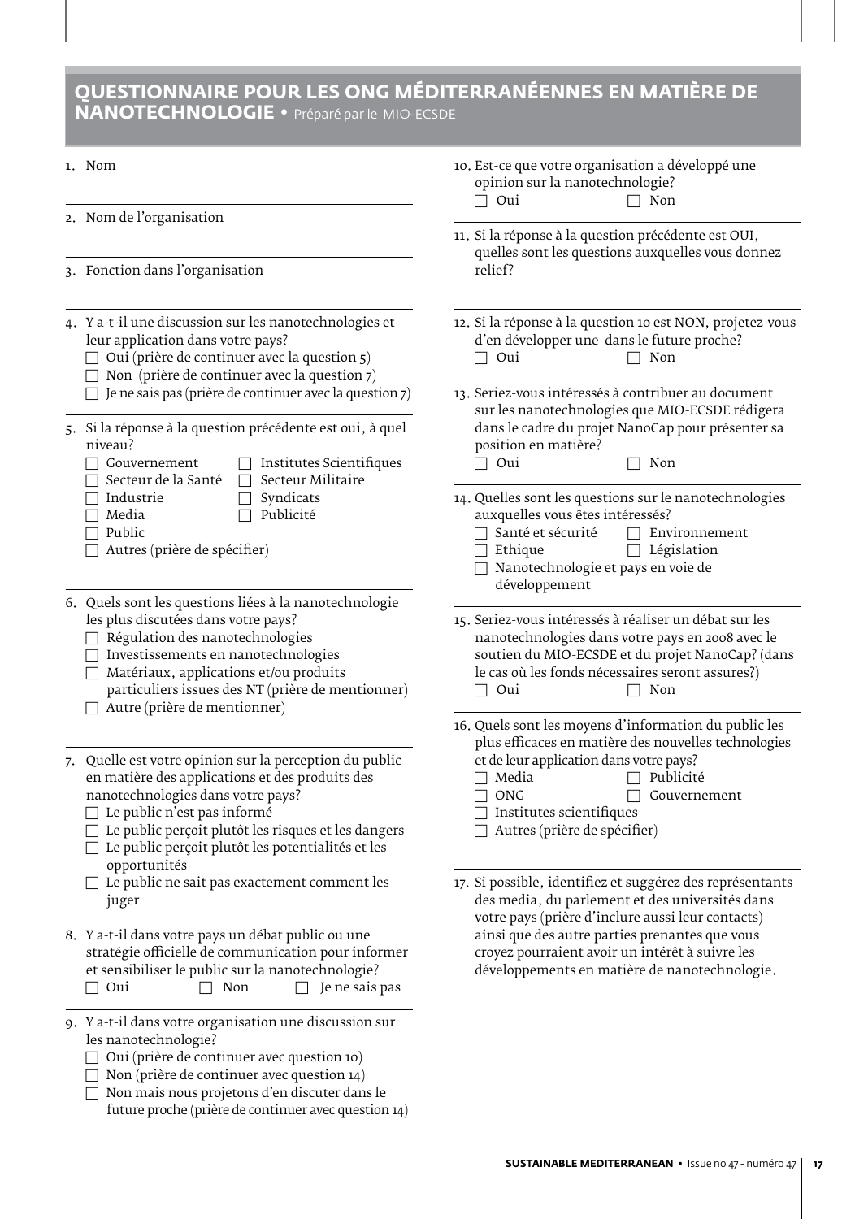## **QUESTIONNAIRE POUR LES ONG MÉDITERRANÉENNES EN MATIÈRE DE NANOTECHNOLOGIE •** Préparé par le MIO-ECSDE

- 2. Nom de l'organisation
- 3. Fonction dans l'organisation
- 4. Y a-t-il une discussion sur les nanotechnologies et leur application dans votre pays?
	- $\Box$  Oui (prière de continuer avec la question 5)
	- $\Box$  Non (prière de continuer avec la question 7)
	- $\Box$  Je ne sais pas (prière de continuer avec la question 7)
- 5. Si la réponse à la question précédente est oui, à quel niveau?<br> $\Box$  Gouvernement
	-
- $\Box$  Institutes Scientifiques
- $\Box$  Secteur de la Santé  $\Box$  Secteur Militaire<br> $\Box$  Industrie  $\Box$  Syndicats
- $\Box$  Industrie  $\Box$  Syndicats<br> $\Box$  Media  $\Box$  Publicité
	- $\Box$  Publicité
- $\Box$  Public  $\Box$  Autres (prière de spécifier)
- 6. Quels sont les questions liées à la nanotechnologie les plus discutées dans votre pays?
	- $\Box$  Régulation des nanotechnologies
	- $\Box$  Investissements en nanotechnologies
	- $\Box$  Matériaux, applications et/ou produits
	- particuliers issues des NT (prière de mentionner)  $\Box$  Autre (prière de mentionner)
- 7. Quelle est votre opinion sur la perception du public en matière des applications et des produits des nanotechnologies dans votre pays?
	- $\Box$  Le public n'est pas informé
	- $\Box$  Le public perçoit plutôt les risques et les dangers
	- $\Box$  Le public perçoit plutôt les potentialités et les opportunités
	- $\Box$  Le public ne sait pas exactement comment les juger
- 8. Y a-t-il dans votre pays un débat public ou une stratégie officielle de communication pour informer et sensibiliser le public sur la nanotechnologie?<br> $\Box$  Oui  $\Box$  Non  $\Box$  Je ne sais  $\hfill\Box$  <br> Je ne sais pas
- 9. Y a-t-il dans votre organisation une discussion sur les nanotechnologie?
	- $\Box$  Oui (prière de continuer avec question 10)
	- $\Box$  Non (prière de continuer avec question 14)
	- $\Box$  Non mais nous projetons d'en discuter dans le future proche (prière de continuer avec question 14)
- 10. Est-ce que votre organisation a développé une opinion sur la nanotechnologie?<br> $\Box$  Oui  $\Box$  Non  $\Box$  Oui
- 11. Si la réponse à la question précédente est OUI, quelles sont les questions auxquelles vous donnez relief?
- 12. Si la réponse à la question 10 est NON, projetez-vous d'en développer une dans le future proche?<br> $\Box$  Oui  $\Box$  Non  $\Box$  Non
- 13. Seriez-vous intéressés à contribuer au document sur les nanotechnologies que MIO-ECSDE rédigera dans le cadre du projet NanoCap pour présenter sa position en matière?<br>  $\Box$  Oui
	- $\Box$  Non
- 14. Quelles sont les questions sur le nanotechnologies auxquelles vous êtes intéressés?<br> $\Box$  Santé et sécurité  $\Box$  Environnement
	- $\Box$  Santé et sécurité<br> $\Box$  Ethique
		- $\Box$  Législation
	- $\Box$  Nanotechnologie et pays en voie de développement
- 15. Seriez-vous intéressés à réaliser un débat sur les nanotechnologies dans votre pays en 2008 avec le soutien du MIO-ECSDE et du projet NanoCap? (dans le cas où les fonds nécessaires seront assures?)<br>  $\Box$  Oui  $\Box$  Non  $\Box$  Non
- 16. Quels sont les moyens d'information du public les plus efficaces en matière des nouvelles technologies
	- et de leur application dans votre pays?<br> $\Box$  Media  $\Box$  Publicite  $\Box$  Media  $\Box$  Publicité<br> $\Box$  ONG  $\Box$  Gouverne
	-
	- $\Box$  Gouvernement  $\hfill\Box$  Institutes scientifiques
	-
	- $\Box$  Autres (prière de spécifier)
- 17. Si possible, identifiez et suggérez des représentants des media, du parlement et des universités dans votre pays (prière d'inclure aussi leur contacts) ainsi que des autre parties prenantes que vous croyez pourraient avoir un intérêt à suivre les développements en matière de nanotechnologie.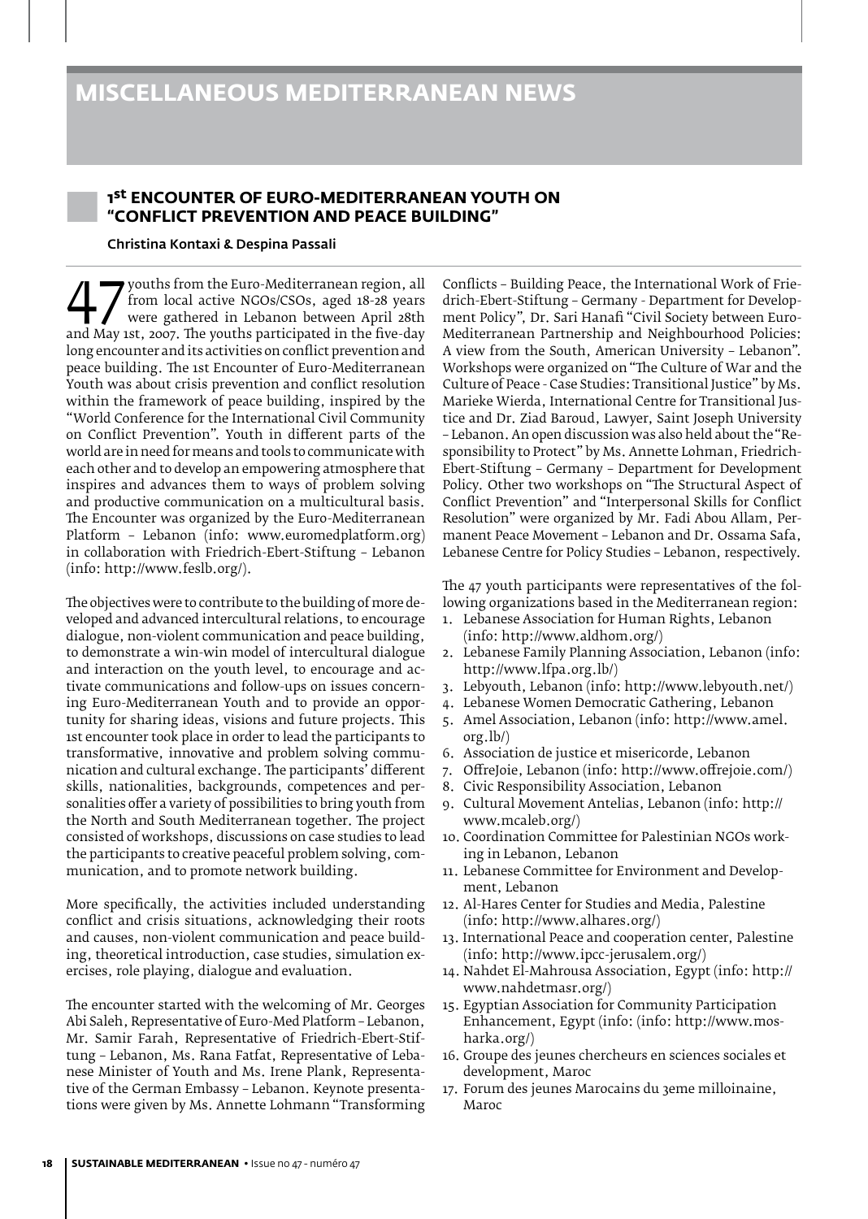#### 1st ENCOUNTER OF EURO-MEDITERRANEAN YOUTH ON **"CONFLICT PREVENTION AND PEACE BUILDING"**

#### Christina Kontaxi & Despina Passali

From local active NGOs/CSOs, aged 18-28 years<br>
were gathered in Lebanon between April 28th<br>
and May 1st, 2007. The youths participated in the five-day from local active NGOs/CSOs, aged 18-28 years were gathered in Lebanon between April 28th long encounter and its activities on conflict prevention and peace building. The 1st Encounter of Euro-Mediterranean Youth was about crisis prevention and conflict resolution within the framework of peace building, inspired by the "World Conference for the International Civil Community on Conflict Prevention". Youth in different parts of the world are in need for means and tools to communicate with each other and to develop an empowering atmosphere that inspires and advances them to ways of problem solving and productive communication on a multicultural basis. The Encounter was organized by the Euro-Mediterranean Platform – Lebanon (info: www.euromedplatform.org) in collaboration with Friedrich-Ebert-Stiftung – Lebanon (info: http://www.feslb.org/).

The objectives were to contribute to the building of more developed and advanced intercultural relations, to encourage dialogue, non-violent communication and peace building, to demonstrate a win-win model of intercultural dialogue and interaction on the youth level, to encourage and activate communications and follow-ups on issues concerning Euro-Mediterranean Youth and to provide an opportunity for sharing ideas, visions and future projects. This 1st encounter took place in order to lead the participants to transformative, innovative and problem solving communication and cultural exchange. The participants' different skills, nationalities, backgrounds, competences and personalities offer a variety of possibilities to bring youth from the North and South Mediterranean together. The project consisted of workshops, discussions on case studies to lead the participants to creative peaceful problem solving, communication, and to promote network building.

More specifically, the activities included understanding conflict and crisis situations, acknowledging their roots and causes, non-violent communication and peace building, theoretical introduction, case studies, simulation exercises, role playing, dialogue and evaluation.

The encounter started with the welcoming of Mr. Georges Abi Saleh, Representative of Euro-Med Platform – Lebanon, Mr. Samir Farah, Representative of Friedrich-Ebert-Stiftung – Lebanon, Ms. Rana Fatfat, Representative of Lebanese Minister of Youth and Ms. Irene Plank, Representative of the German Embassy – Lebanon. Keynote presentations were given by Ms. Annette Lohmann "Transforming

Conflicts – Building Peace, the International Work of Friedrich-Ebert-Stiftung – Germany - Department for Development Policy", Dr. Sari Hanafi "Civil Society between Euro-Mediterranean Partnership and Neighbourhood Policies: A view from the South, American University – Lebanon". Workshops were organized on "The Culture of War and the Culture of Peace - Case Studies: Transitional Justice" by Ms. Marieke Wierda, International Centre for Transitional Justice and Dr. Ziad Baroud, Lawyer, Saint Joseph University – Lebanon. An open discussion was also held about the "Responsibility to Protect" by Ms. Annette Lohman, Friedrich-Ebert-Stiftung – Germany – Department for Development Policy. Other two workshops on "The Structural Aspect of Conflict Prevention" and "Interpersonal Skills for Conflict Resolution" were organized by Mr. Fadi Abou Allam, Permanent Peace Movement – Lebanon and Dr. Ossama Safa, Lebanese Centre for Policy Studies – Lebanon, respectively.

The 47 youth participants were representatives of the following organizations based in the Mediterranean region:

- 1. Lebanese Association for Human Rights, Lebanon (info: http://www.aldhom.org/)
- 2. Lebanese Family Planning Association, Lebanon (info: http://www.lfpa.org.lb/)
- 3. Lebyouth, Lebanon (info: http://www.lebyouth.net/)
- 4. Lebanese Women Democratic Gathering, Lebanon
- 5. Amel Association, Lebanon (info: http://www.amel. org.lb/)
- 6. Association de justice et misericorde, Lebanon
- 7. OffreJoie, Lebanon (info: http://www.offrejoie.com/)
- 8. Civic Responsibility Association, Lebanon
- 9. Cultural Movement Antelias, Lebanon (info: http:// www.mcaleb.org/)
- 10. Coordination Committee for Palestinian NGOs working in Lebanon, Lebanon
- 11. Lebanese Committee for Environment and Development, Lebanon
- 12. Al-Hares Center for Studies and Media, Palestine (info: http://www.alhares.org/)
- 13. International Peace and cooperation center, Palestine (info: http://www.ipcc-jerusalem.org/)
- 14. Nahdet El-Mahrousa Association, Egypt (info: http:// www.nahdetmasr.org/)
- 15. Egyptian Association for Community Participation Enhancement, Egypt (info: (info: http://www.mosharka.org/)
- 16. Groupe des jeunes chercheurs en sciences sociales et development, Maroc
- 17. Forum des jeunes Marocains du 3eme milloinaine, Maroc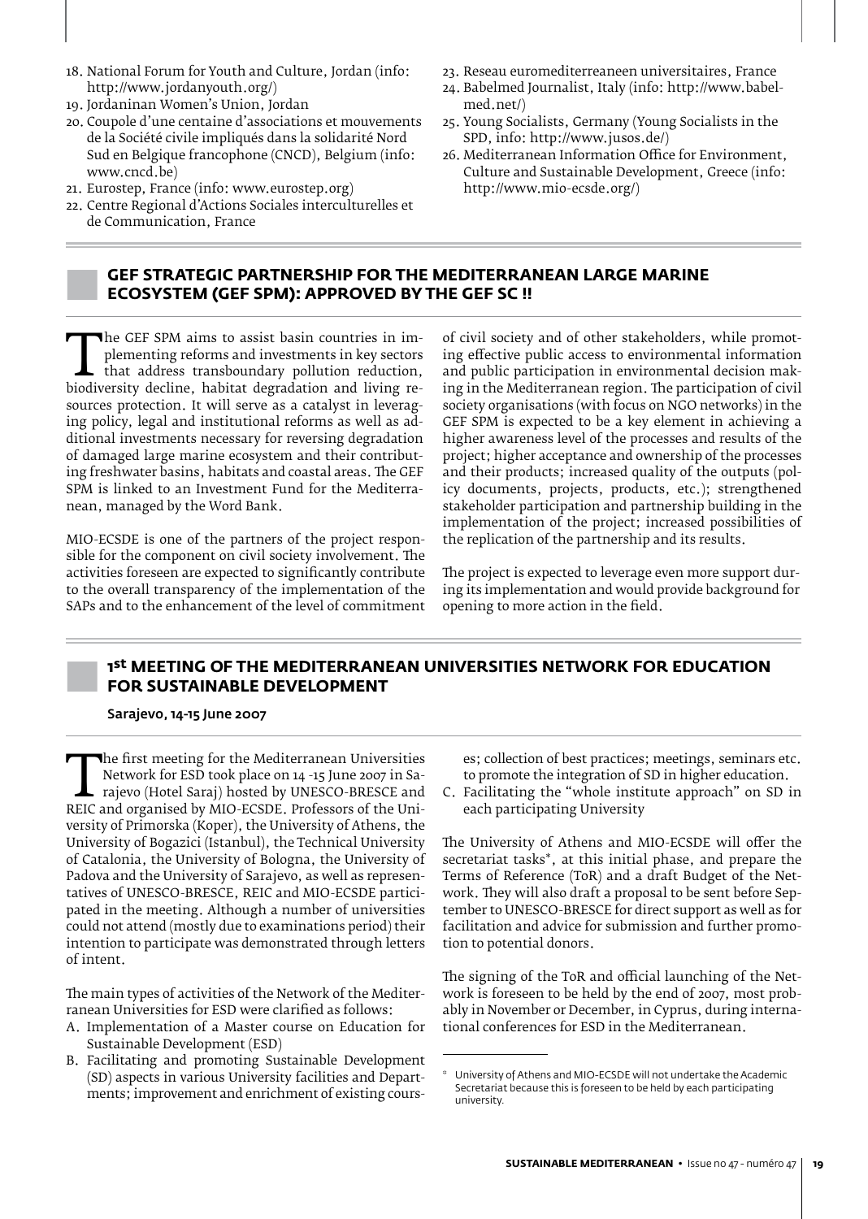- 18. National Forum for Youth and Culture, Jordan (info: http://www.jordanyouth.org/)
- 19. Jordaninan Women's Union, Jordan
- 20. Coupole d'une centaine d'associations et mouvements de la Société civile impliqués dans la solidarité Nord Sud en Belgique francophone (CNCD), Belgium (info: www.cncd.be)
- 21. Eurostep, France (info: www.eurostep.org)
- 22. Centre Regional d'Actions Sociales interculturelles et de Communication, France
- 23. Reseau euromediterreaneen universitaires, France
- 24. Babelmed Journalist, Italy (info: http://www.babelmed.net/)
- 25. Young Socialists, Germany (Young Socialists in the SPD, info: http://www.jusos.de/)
- 26. Mediterranean Information Office for Environment, Culture and Sustainable Development, Greece (info: http://www.mio-ecsde.org/)

#### **GEF STRATEGIC PARTNERSHIP FOR THE MEDITERRANEAN LARGE MARINE ECOSYSTEM (GEF SPM): APPROVED BY THE GEF SC !!**

The GEF SPM aims to assist basin countries in im-<br>plementing reforms and investments in key sectors<br>that address transboundary pollution reduction,<br>biodiversity decline, habitat degradation and living re-<br>sources protectio plementing reforms and investments in key sectors that address transboundary pollution reduction, sources protection. It will serve as a catalyst in leveraging policy, legal and institutional reforms as well as additional investments necessary for reversing degradation of damaged large marine ecosystem and their contributing freshwater basins, habitats and coastal areas. The GEF SPM is linked to an Investment Fund for the Mediterranean, managed by the Word Bank.

MIO-ECSDE is one of the partners of the project responsible for the component on civil society involvement. The activities foreseen are expected to significantly contribute to the overall transparency of the implementation of the SAPs and to the enhancement of the level of commitment of civil society and of other stakeholders, while promoting effective public access to environmental information and public participation in environmental decision making in the Mediterranean region. The participation of civil society organisations (with focus on NGO networks) in the GEF SPM is expected to be a key element in achieving a higher awareness level of the processes and results of the project; higher acceptance and ownership of the processes and their products; increased quality of the outputs (policy documents, projects, products, etc.); strengthened stakeholder participation and partnership building in the implementation of the project; increased possibilities of the replication of the partnership and its results.

The project is expected to leverage even more support during its implementation and would provide background for opening to more action in the field.

#### **1st MEETING OF THE MEDITERRANEAN UNIVERSITIES NETWORK FOR EDUCATION FOR SUSTAINABLE DEVELOPMENT**

#### Sarajevo, 14-15 June 2007

The first meeting for the Mediterranean Universities<br>
Network for ESD took place on 14 -15 June 2007 in Sa-<br>
rajevo (Hotel Saraj) hosted by UNESCO-BRESCE and<br>
REIC and organised by MIO-ECSDE. Professors of the University<br> Network for ESD took place on 14 -15 June 2007 in Sarajevo (Hotel Saraj) hosted by UNESCO-BRESCE and versity of Primorska (Koper), the University of Athens, the University of Bogazici (Istanbul), the Technical University of Catalonia, the University of Bologna, the University of Padova and the University of Sarajevo, as well as representatives of UNESCO-BRESCE, REIC and MIO-ECSDE participated in the meeting. Although a number of universities could not attend (mostly due to examinations period) their intention to participate was demonstrated through letters of intent.

The main types of activities of the Network of the Mediterranean Universities for ESD were clarified as follows:

- A. Implementation of a Master course on Education for Sustainable Development (ESD)
- B. Facilitating and promoting Sustainable Development (SD) aspects in various University facilities and Departments; improvement and enrichment of existing cours-

es; collection of best practices; meetings, seminars etc. to promote the integration of SD in higher education.

C. Facilitating the "whole institute approach" on SD in each participating University

The University of Athens and MIO-ECSDE will offer the secretariat tasks<sup>\*</sup>, at this initial phase, and prepare the Terms of Reference (ToR) and a draft Budget of the Network. They will also draft a proposal to be sent before September to UNESCO-BRESCE for direct support as well as for facilitation and advice for submission and further promotion to potential donors.

The signing of the ToR and official launching of the Network is foreseen to be held by the end of 2007, most probably in November or December, in Cyprus, during international conferences for ESD in the Mediterranean.

University of Athens and MIO-ECSDE will not undertake the Academic Secretariat because this is foreseen to be held by each participating university.